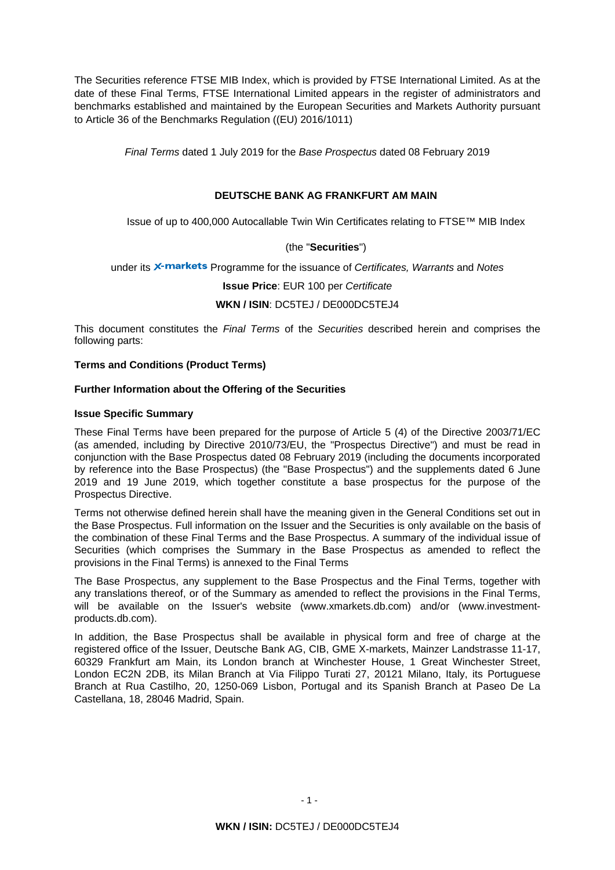The Securities reference FTSE MIB Index, which is provided by FTSE International Limited. As at the date of these Final Terms, FTSE International Limited appears in the register of administrators and benchmarks established and maintained by the European Securities and Markets Authority pursuant to Article 36 of the Benchmarks Regulation ((EU) 2016/1011)

*Final Terms* dated 1 July 2019 for the *Base Prospectus* dated 08 February 2019

# **DEUTSCHE BANK AG FRANKFURT AM MAIN**

Issue of up to 400,000 Autocallable Twin Win Certificates relating to FTSE™ MIB Index

# (the "**Securities**")

under its X-markets Programme for the issuance of *Certificates, Warrants* and *Notes* 

**Issue Price**: EUR 100 per *Certificate* 

### **WKN / ISIN**: DC5TEJ / DE000DC5TEJ4

This document constitutes the *Final Terms* of the *Securities* described herein and comprises the following parts:

### **Terms and Conditions (Product Terms)**

# **Further Information about the Offering of the Securities**

### **Issue Specific Summary**

These Final Terms have been prepared for the purpose of Article 5 (4) of the Directive 2003/71/EC (as amended, including by Directive 2010/73/EU, the "Prospectus Directive") and must be read in conjunction with the Base Prospectus dated 08 February 2019 (including the documents incorporated by reference into the Base Prospectus) (the "Base Prospectus") and the supplements dated 6 June 2019 and 19 June 2019, which together constitute a base prospectus for the purpose of the Prospectus Directive.

Terms not otherwise defined herein shall have the meaning given in the General Conditions set out in the Base Prospectus. Full information on the Issuer and the Securities is only available on the basis of the combination of these Final Terms and the Base Prospectus. A summary of the individual issue of Securities (which comprises the Summary in the Base Prospectus as amended to reflect the provisions in the Final Terms) is annexed to the Final Terms

The Base Prospectus, any supplement to the Base Prospectus and the Final Terms, together with any translations thereof, or of the Summary as amended to reflect the provisions in the Final Terms, will be available on the Issuer's website (www.xmarkets.db.com) and/or (www.investmentproducts.db.com).

In addition, the Base Prospectus shall be available in physical form and free of charge at the registered office of the Issuer, Deutsche Bank AG, CIB, GME X-markets, Mainzer Landstrasse 11-17, 60329 Frankfurt am Main, its London branch at Winchester House, 1 Great Winchester Street, London EC2N 2DB, its Milan Branch at Via Filippo Turati 27, 20121 Milano, Italy, its Portuguese Branch at Rua Castilho, 20, 1250-069 Lisbon, Portugal and its Spanish Branch at Paseo De La Castellana, 18, 28046 Madrid, Spain.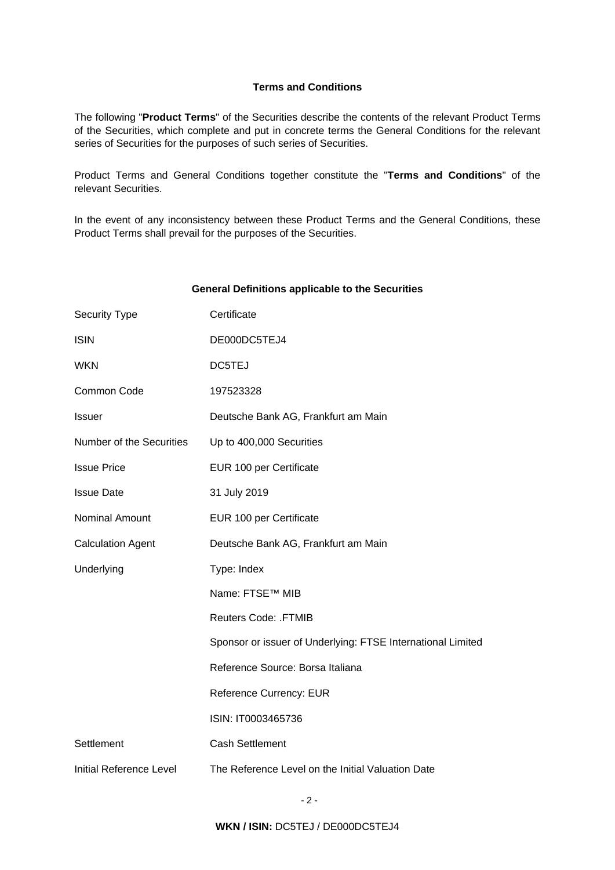## **Terms and Conditions**

The following "**Product Terms**" of the Securities describe the contents of the relevant Product Terms of the Securities, which complete and put in concrete terms the General Conditions for the relevant series of Securities for the purposes of such series of Securities.

Product Terms and General Conditions together constitute the "**Terms and Conditions**" of the relevant Securities.

In the event of any inconsistency between these Product Terms and the General Conditions, these Product Terms shall prevail for the purposes of the Securities.

### **General Definitions applicable to the Securities**

| <b>Security Type</b>     | Certificate                                                 |
|--------------------------|-------------------------------------------------------------|
| <b>ISIN</b>              | DE000DC5TEJ4                                                |
| <b>WKN</b>               | DC5TEJ                                                      |
| Common Code              | 197523328                                                   |
| Issuer                   | Deutsche Bank AG, Frankfurt am Main                         |
| Number of the Securities | Up to 400,000 Securities                                    |
| <b>Issue Price</b>       | EUR 100 per Certificate                                     |
| <b>Issue Date</b>        | 31 July 2019                                                |
| Nominal Amount           | EUR 100 per Certificate                                     |
| <b>Calculation Agent</b> | Deutsche Bank AG, Frankfurt am Main                         |
| Underlying               | Type: Index                                                 |
|                          | Name: FTSE™ MIB                                             |
|                          | <b>Reuters Code: .FTMIB</b>                                 |
|                          | Sponsor or issuer of Underlying: FTSE International Limited |
|                          | Reference Source: Borsa Italiana                            |
|                          | <b>Reference Currency: EUR</b>                              |
|                          | ISIN: IT0003465736                                          |
| Settlement               | <b>Cash Settlement</b>                                      |
| Initial Reference Level  | The Reference Level on the Initial Valuation Date           |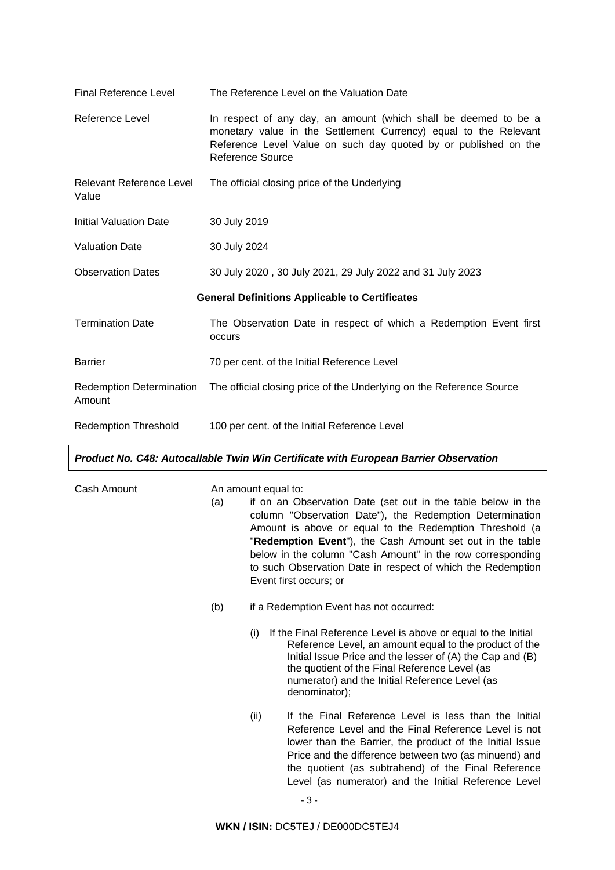| <b>Final Reference Level</b>                          | The Reference Level on the Valuation Date                                                                                                                                                                                  |  |  |
|-------------------------------------------------------|----------------------------------------------------------------------------------------------------------------------------------------------------------------------------------------------------------------------------|--|--|
| Reference Level                                       | In respect of any day, an amount (which shall be deemed to be a<br>monetary value in the Settlement Currency) equal to the Relevant<br>Reference Level Value on such day quoted by or published on the<br>Reference Source |  |  |
| Relevant Reference Level<br>Value                     | The official closing price of the Underlying                                                                                                                                                                               |  |  |
| <b>Initial Valuation Date</b>                         | 30 July 2019                                                                                                                                                                                                               |  |  |
| <b>Valuation Date</b>                                 | 30 July 2024                                                                                                                                                                                                               |  |  |
| <b>Observation Dates</b>                              | 30 July 2020, 30 July 2021, 29 July 2022 and 31 July 2023                                                                                                                                                                  |  |  |
| <b>General Definitions Applicable to Certificates</b> |                                                                                                                                                                                                                            |  |  |
| <b>Termination Date</b>                               | The Observation Date in respect of which a Redemption Event first<br>occurs                                                                                                                                                |  |  |
| <b>Barrier</b>                                        | 70 per cent. of the Initial Reference Level                                                                                                                                                                                |  |  |
| <b>Redemption Determination</b><br>Amount             | The official closing price of the Underlying on the Reference Source                                                                                                                                                       |  |  |
| <b>Redemption Threshold</b>                           | 100 per cent. of the Initial Reference Level                                                                                                                                                                               |  |  |

# *Product No. C48: Autocallable Twin Win Certificate with European Barrier Observation*

| Cash Amount |     | An amount equal to:                                                                                                                                                                                                                                                                                                                                                                                     |  |  |  |
|-------------|-----|---------------------------------------------------------------------------------------------------------------------------------------------------------------------------------------------------------------------------------------------------------------------------------------------------------------------------------------------------------------------------------------------------------|--|--|--|
|             | (a) | if on an Observation Date (set out in the table below in the<br>column "Observation Date"), the Redemption Determination<br>Amount is above or equal to the Redemption Threshold (a<br>"Redemption Event"), the Cash Amount set out in the table<br>below in the column "Cash Amount" in the row corresponding<br>to such Observation Date in respect of which the Redemption<br>Event first occurs; or |  |  |  |
|             | (b) | if a Redemption Event has not occurred:                                                                                                                                                                                                                                                                                                                                                                 |  |  |  |
|             |     | If the Final Reference Level is above or equal to the Initial<br>(i)<br>Reference Level, an amount equal to the product of the<br>Initial Issue Price and the lesser of (A) the Cap and (B)<br>the quotient of the Final Reference Level (as<br>numerator) and the Initial Reference Level (as<br>denominator);                                                                                         |  |  |  |
|             |     | If the Final Reference Level is less than the Initial<br>(ii)<br>Reference Level and the Final Reference Level is not<br>lower than the Barrier, the product of the Initial Issue<br>Price and the difference between two (as minuend) and<br>the quotient (as subtrahend) of the Final Reference<br>Level (as numerator) and the Initial Reference Level                                               |  |  |  |
|             |     |                                                                                                                                                                                                                                                                                                                                                                                                         |  |  |  |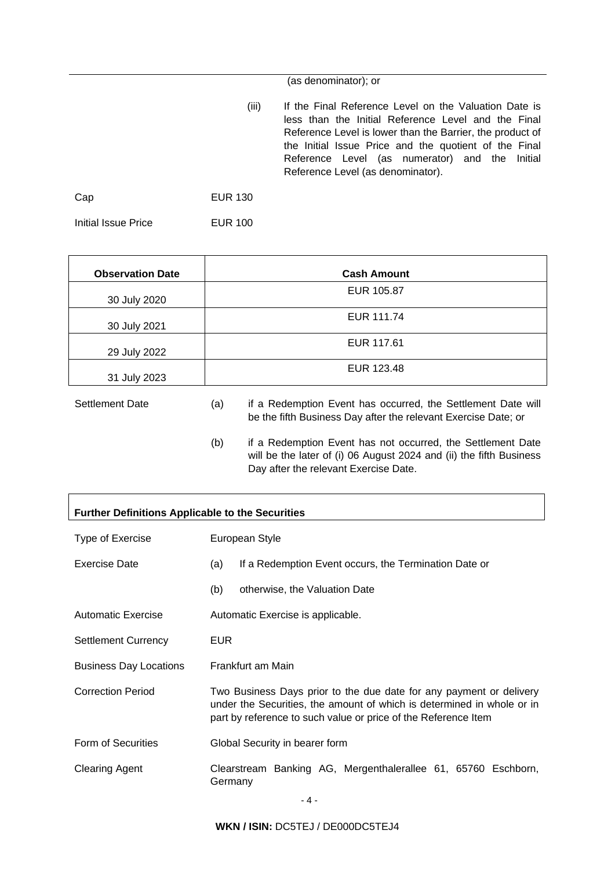(as denominator); or

(iii) If the Final Reference Level on the Valuation Date is less than the Initial Reference Level and the Final Reference Level is lower than the Barrier, the product of the Initial Issue Price and the quotient of the Final Reference Level (as numerator) and the Initial Reference Level (as denominator).

Cap EUR 130

Initial Issue Price EUR 100

| <b>Observation Date</b> |     | <b>Cash Amount</b>                                                                                                             |
|-------------------------|-----|--------------------------------------------------------------------------------------------------------------------------------|
| 30 July 2020            |     | EUR 105.87                                                                                                                     |
| 30 July 2021            |     | EUR 111.74                                                                                                                     |
| 29 July 2022            |     | EUR 117.61                                                                                                                     |
| 31 July 2023            |     | EUR 123.48                                                                                                                     |
| <b>Settlement Date</b>  | (a) | if a Redemption Event has occurred, the Settlement Date will<br>be the fifth Business Day after the relevant Exercise Date; or |

(b) if a Redemption Event has not occurred, the Settlement Date will be the later of (i) 06 August 2024 and (ii) the fifth Business Day after the relevant Exercise Date.

 $\overline{\phantom{a}}$ 

| <b>Further Definitions Applicable to the Securities</b> |                                                                                                                                                                                                                 |                               |  |  |
|---------------------------------------------------------|-----------------------------------------------------------------------------------------------------------------------------------------------------------------------------------------------------------------|-------------------------------|--|--|
| Type of Exercise                                        | European Style                                                                                                                                                                                                  |                               |  |  |
| Exercise Date                                           | If a Redemption Event occurs, the Termination Date or<br>(a)                                                                                                                                                    |                               |  |  |
|                                                         | (b)                                                                                                                                                                                                             | otherwise, the Valuation Date |  |  |
| <b>Automatic Exercise</b>                               | Automatic Exercise is applicable.                                                                                                                                                                               |                               |  |  |
| <b>Settlement Currency</b>                              | <b>EUR</b>                                                                                                                                                                                                      |                               |  |  |
| <b>Business Day Locations</b>                           | Frankfurt am Main                                                                                                                                                                                               |                               |  |  |
| <b>Correction Period</b>                                | Two Business Days prior to the due date for any payment or delivery<br>under the Securities, the amount of which is determined in whole or in<br>part by reference to such value or price of the Reference Item |                               |  |  |
| Form of Securities                                      | Global Security in bearer form                                                                                                                                                                                  |                               |  |  |
| <b>Clearing Agent</b>                                   | Clearstream Banking AG, Mergenthalerallee 61, 65760 Eschborn,<br>Germany                                                                                                                                        |                               |  |  |

**WKN / ISIN:** DC5TEJ / DE000DC5TEJ4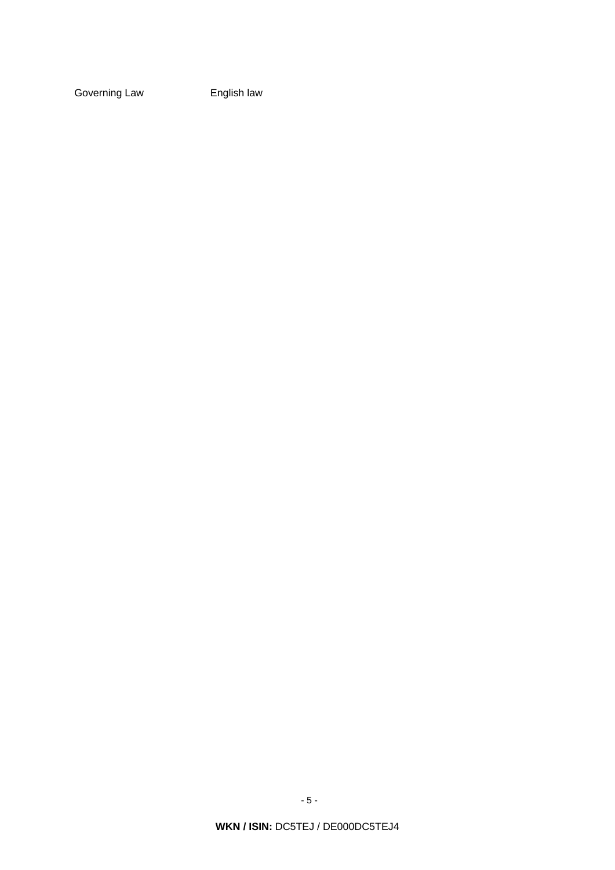Governing Law **English law**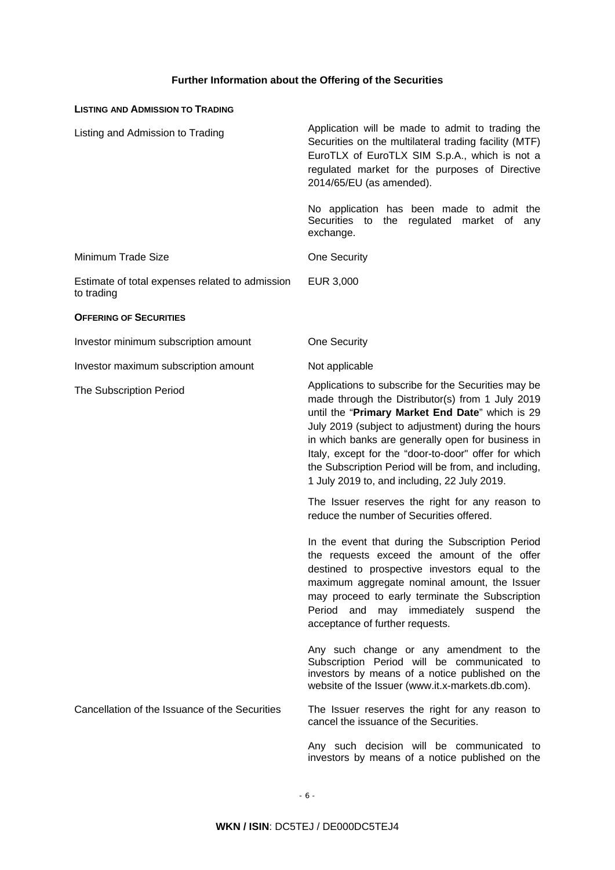# **Further Information about the Offering of the Securities**

| <b>LISTING AND ADMISSION TO TRADING</b>                       |                                                                                                                                                                                                                                                                                                                                                                                                                                       |
|---------------------------------------------------------------|---------------------------------------------------------------------------------------------------------------------------------------------------------------------------------------------------------------------------------------------------------------------------------------------------------------------------------------------------------------------------------------------------------------------------------------|
| Listing and Admission to Trading                              | Application will be made to admit to trading the<br>Securities on the multilateral trading facility (MTF)<br>EuroTLX of EuroTLX SIM S.p.A., which is not a<br>regulated market for the purposes of Directive<br>2014/65/EU (as amended).                                                                                                                                                                                              |
|                                                               | No application has been made to admit the<br>Securities to<br>regulated<br>the<br>market of<br>any<br>exchange.                                                                                                                                                                                                                                                                                                                       |
| Minimum Trade Size                                            | <b>One Security</b>                                                                                                                                                                                                                                                                                                                                                                                                                   |
| Estimate of total expenses related to admission<br>to trading | EUR 3,000                                                                                                                                                                                                                                                                                                                                                                                                                             |
| <b>OFFERING OF SECURITIES</b>                                 |                                                                                                                                                                                                                                                                                                                                                                                                                                       |
| Investor minimum subscription amount                          | One Security                                                                                                                                                                                                                                                                                                                                                                                                                          |
| Investor maximum subscription amount                          | Not applicable                                                                                                                                                                                                                                                                                                                                                                                                                        |
| The Subscription Period                                       | Applications to subscribe for the Securities may be<br>made through the Distributor(s) from 1 July 2019<br>until the "Primary Market End Date" which is 29<br>July 2019 (subject to adjustment) during the hours<br>in which banks are generally open for business in<br>Italy, except for the "door-to-door" offer for which<br>the Subscription Period will be from, and including,<br>1 July 2019 to, and including, 22 July 2019. |
|                                                               | The Issuer reserves the right for any reason to<br>reduce the number of Securities offered.                                                                                                                                                                                                                                                                                                                                           |
|                                                               | In the event that during the Subscription Period<br>the requests exceed the amount of the offer<br>destined to prospective investors equal to the<br>maximum aggregate nominal amount, the Issuer<br>may proceed to early terminate the Subscription<br>Period and may immediately suspend the<br>acceptance of further requests.                                                                                                     |
|                                                               | Any such change or any amendment to the<br>Subscription Period will be communicated to<br>investors by means of a notice published on the<br>website of the Issuer (www.it.x-markets.db.com).                                                                                                                                                                                                                                         |
| Cancellation of the Issuance of the Securities                | The Issuer reserves the right for any reason to<br>cancel the issuance of the Securities.                                                                                                                                                                                                                                                                                                                                             |
|                                                               | Any such decision will be communicated to<br>investors by means of a notice published on the                                                                                                                                                                                                                                                                                                                                          |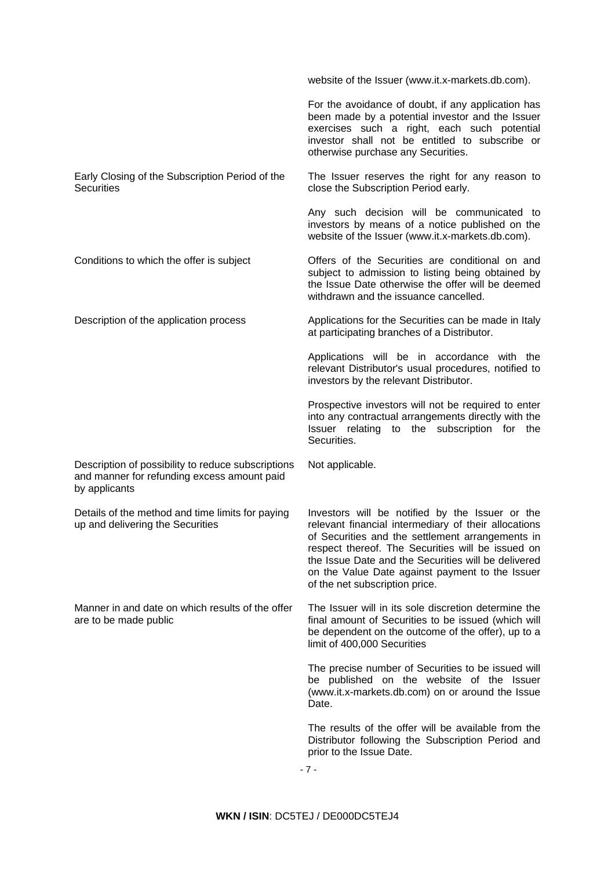|                                                                                                                    | website of the Issuer (www.it.x-markets.db.com).                                                                                                                                                                                                                                                                                                             |
|--------------------------------------------------------------------------------------------------------------------|--------------------------------------------------------------------------------------------------------------------------------------------------------------------------------------------------------------------------------------------------------------------------------------------------------------------------------------------------------------|
|                                                                                                                    | For the avoidance of doubt, if any application has<br>been made by a potential investor and the Issuer<br>exercises such a right, each such potential<br>investor shall not be entitled to subscribe or<br>otherwise purchase any Securities.                                                                                                                |
| Early Closing of the Subscription Period of the<br><b>Securities</b>                                               | The Issuer reserves the right for any reason to<br>close the Subscription Period early.                                                                                                                                                                                                                                                                      |
|                                                                                                                    | Any such decision will be communicated to<br>investors by means of a notice published on the<br>website of the Issuer (www.it.x-markets.db.com).                                                                                                                                                                                                             |
| Conditions to which the offer is subject                                                                           | Offers of the Securities are conditional on and<br>subject to admission to listing being obtained by<br>the Issue Date otherwise the offer will be deemed<br>withdrawn and the issuance cancelled.                                                                                                                                                           |
| Description of the application process                                                                             | Applications for the Securities can be made in Italy<br>at participating branches of a Distributor.                                                                                                                                                                                                                                                          |
|                                                                                                                    | Applications will be in accordance with the<br>relevant Distributor's usual procedures, notified to<br>investors by the relevant Distributor.                                                                                                                                                                                                                |
|                                                                                                                    | Prospective investors will not be required to enter<br>into any contractual arrangements directly with the<br>Issuer relating to the subscription for the<br>Securities.                                                                                                                                                                                     |
| Description of possibility to reduce subscriptions<br>and manner for refunding excess amount paid<br>by applicants | Not applicable.                                                                                                                                                                                                                                                                                                                                              |
| Details of the method and time limits for paying<br>up and delivering the Securities                               | Investors will be notified by the Issuer or the<br>relevant financial intermediary of their allocations<br>of Securities and the settlement arrangements in<br>respect thereof. The Securities will be issued on<br>the Issue Date and the Securities will be delivered<br>on the Value Date against payment to the Issuer<br>of the net subscription price. |
| Manner in and date on which results of the offer<br>are to be made public                                          | The Issuer will in its sole discretion determine the<br>final amount of Securities to be issued (which will<br>be dependent on the outcome of the offer), up to a<br>limit of 400,000 Securities                                                                                                                                                             |
|                                                                                                                    | The precise number of Securities to be issued will<br>be published on the website of the Issuer<br>(www.it.x-markets.db.com) on or around the Issue<br>Date.                                                                                                                                                                                                 |
|                                                                                                                    | The results of the offer will be available from the<br>Distributor following the Subscription Period and<br>prior to the Issue Date.                                                                                                                                                                                                                         |

- 7 -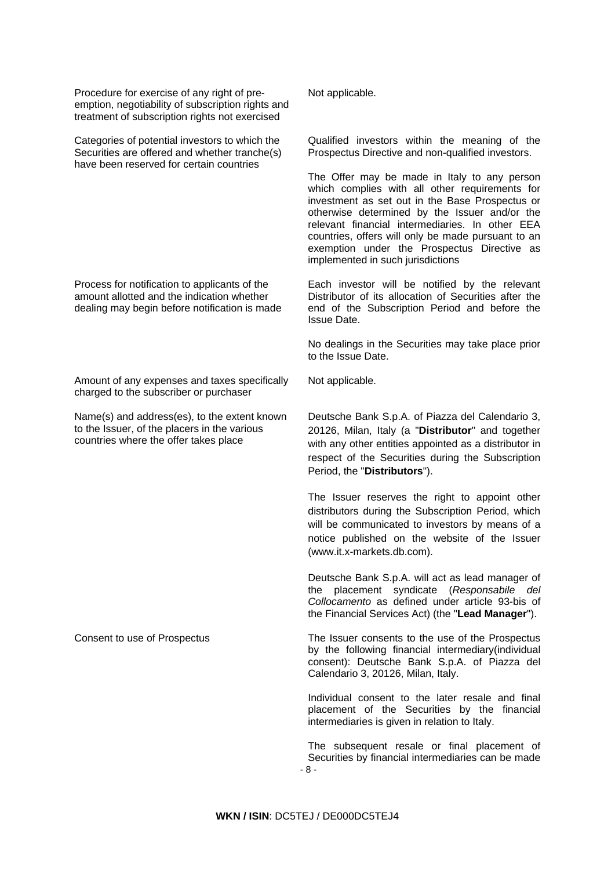Procedure for exercise of any right of preemption, negotiability of subscription rights and treatment of subscription rights not exercised

Categories of potential investors to which the Securities are offered and whether tranche(s) have been reserved for certain countries

Process for notification to applicants of the amount allotted and the indication whether dealing may begin before notification is made

Amount of any expenses and taxes specifically charged to the subscriber or purchaser

Name(s) and address(es), to the extent known to the Issuer, of the placers in the various countries where the offer takes place

Not applicable.

Qualified investors within the meaning of the Prospectus Directive and non-qualified investors.

The Offer may be made in Italy to any person which complies with all other requirements for investment as set out in the Base Prospectus or otherwise determined by the Issuer and/or the relevant financial intermediaries. In other EEA countries, offers will only be made pursuant to an exemption under the Prospectus Directive as implemented in such jurisdictions

Each investor will be notified by the relevant Distributor of its allocation of Securities after the end of the Subscription Period and before the Issue Date.

No dealings in the Securities may take place prior to the Issue Date.

Not applicable.

Deutsche Bank S.p.A. of Piazza del Calendario 3, 20126, Milan, Italy (a "**Distributor**" and together with any other entities appointed as a distributor in respect of the Securities during the Subscription Period, the "**Distributors**").

The Issuer reserves the right to appoint other distributors during the Subscription Period, which will be communicated to investors by means of a notice published on the website of the Issuer (www.it.x-markets.db.com).

Deutsche Bank S.p.A. will act as lead manager of the placement syndicate (*Responsabile del Collocamento* as defined under article 93-bis of the Financial Services Act) (the "**Lead Manager**").

Consent to use of Prospectus The Issuer consents to the use of the Prospectus by the following financial intermediary(individual consent): Deutsche Bank S.p.A. of Piazza del Calendario 3, 20126, Milan, Italy.

> Individual consent to the later resale and final placement of the Securities by the financial intermediaries is given in relation to Italy.

 - 8 - The subsequent resale or final placement of Securities by financial intermediaries can be made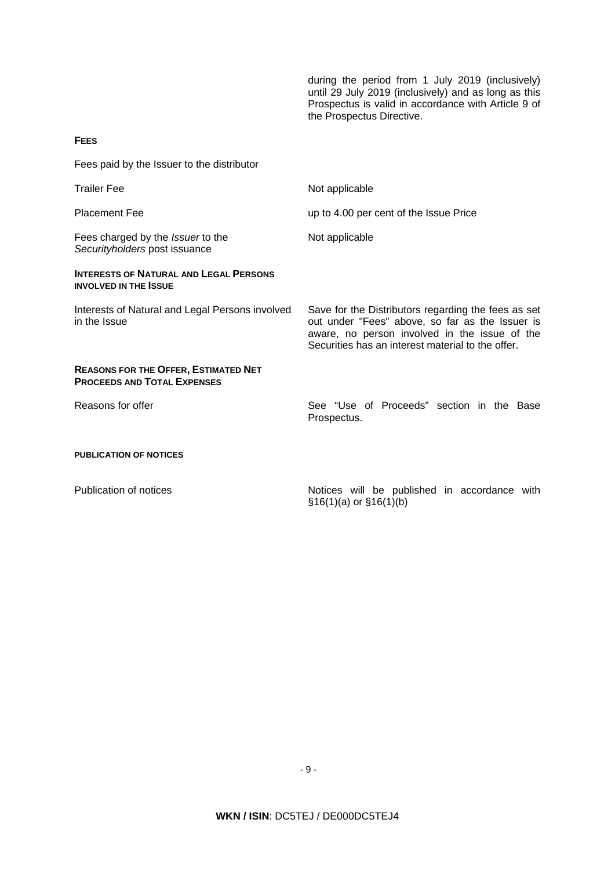during the period from 1 July 2019 (inclusively) until 29 July 2019 (inclusively) and as long as this Prospectus is valid in accordance with Article 9 of the Prospectus Directive.

### **FEES**

Fees paid by the Issuer to the distributor

| <b>Trailer Fee</b>                                                                | Not applicable                                                                                                                                                                                               |
|-----------------------------------------------------------------------------------|--------------------------------------------------------------------------------------------------------------------------------------------------------------------------------------------------------------|
| <b>Placement Fee</b>                                                              | up to 4.00 per cent of the Issue Price                                                                                                                                                                       |
| Fees charged by the <i>Issuer</i> to the<br>Securityholders post issuance         | Not applicable                                                                                                                                                                                               |
| <b>INTERESTS OF NATURAL AND LEGAL PERSONS</b><br><b>INVOLVED IN THE ISSUE</b>     |                                                                                                                                                                                                              |
| Interests of Natural and Legal Persons involved<br>in the Issue                   | Save for the Distributors regarding the fees as set<br>out under "Fees" above, so far as the Issuer is<br>aware, no person involved in the issue of the<br>Securities has an interest material to the offer. |
| <b>REASONS FOR THE OFFER, ESTIMATED NET</b><br><b>PROCEEDS AND TOTAL EXPENSES</b> |                                                                                                                                                                                                              |
| Reasons for offer                                                                 | See "Use of Proceeds" section in the Base<br>Prospectus.                                                                                                                                                     |
| <b>PUBLICATION OF NOTICES</b>                                                     |                                                                                                                                                                                                              |
| Publication of notices                                                            | Notices will be published in accordance with<br>$$16(1)(a)$ or $$16(1)(b)$                                                                                                                                   |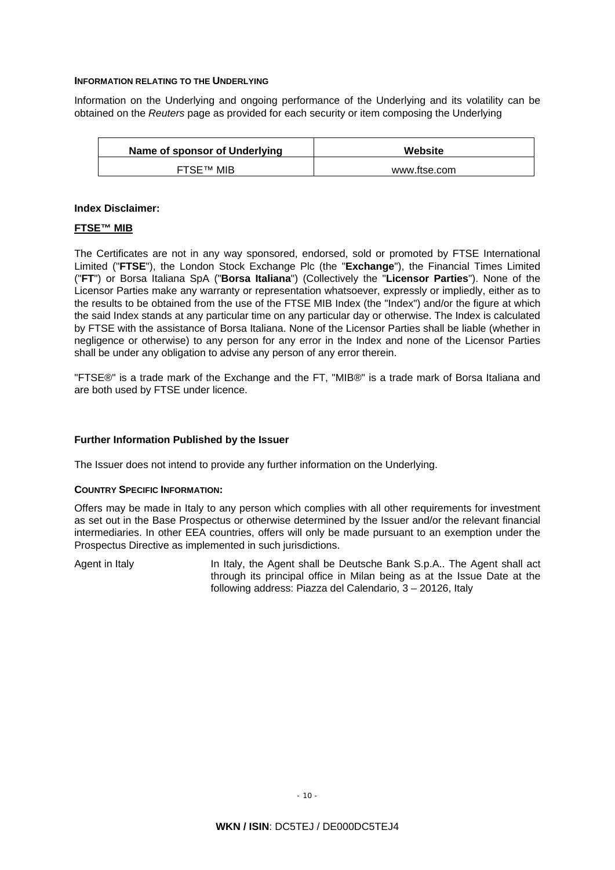### **INFORMATION RELATING TO THE UNDERLYING**

Information on the Underlying and ongoing performance of the Underlying and its volatility can be obtained on the *Reuters* page as provided for each security or item composing the Underlying

| Name of sponsor of Underlying | Website      |
|-------------------------------|--------------|
| <b>FTSE™ MIB</b>              | www.ftse.com |

### **Index Disclaimer:**

### **FTSE™ MIB**

The Certificates are not in any way sponsored, endorsed, sold or promoted by FTSE International Limited ("**FTSE**"), the London Stock Exchange Plc (the "**Exchange**"), the Financial Times Limited ("**FT**") or Borsa Italiana SpA ("**Borsa Italiana**") (Collectively the "**Licensor Parties**"). None of the Licensor Parties make any warranty or representation whatsoever, expressly or impliedly, either as to the results to be obtained from the use of the FTSE MIB Index (the "Index") and/or the figure at which the said Index stands at any particular time on any particular day or otherwise. The Index is calculated by FTSE with the assistance of Borsa Italiana. None of the Licensor Parties shall be liable (whether in negligence or otherwise) to any person for any error in the Index and none of the Licensor Parties shall be under any obligation to advise any person of any error therein.

"FTSE®" is a trade mark of the Exchange and the FT, "MIB®" is a trade mark of Borsa Italiana and are both used by FTSE under licence.

### **Further Information Published by the Issuer**

The Issuer does not intend to provide any further information on the Underlying.

#### **COUNTRY SPECIFIC INFORMATION:**

Offers may be made in Italy to any person which complies with all other requirements for investment as set out in the Base Prospectus or otherwise determined by the Issuer and/or the relevant financial intermediaries. In other EEA countries, offers will only be made pursuant to an exemption under the Prospectus Directive as implemented in such jurisdictions.

Agent in Italy In Italy, the Agent shall be Deutsche Bank S.p.A.. The Agent shall act through its principal office in Milan being as at the Issue Date at the following address: Piazza del Calendario, 3 – 20126, Italy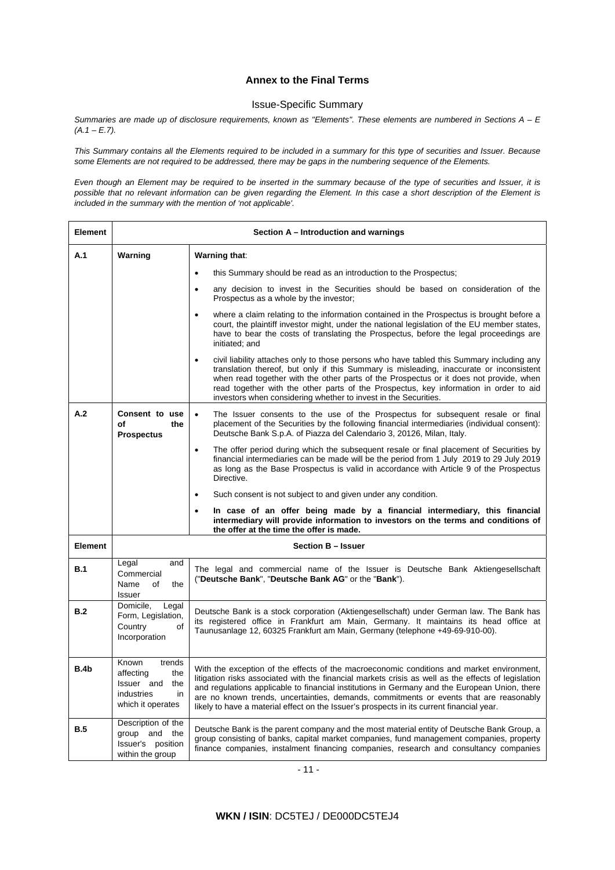# **Annex to the Final Terms**

### Issue-Specific Summary

*Summaries are made up of disclosure requirements, known as "Elements". These elements are numbered in Sections A – E (A.1 – E.7).* 

*This Summary contains all the Elements required to be included in a summary for this type of securities and Issuer. Because some Elements are not required to be addressed, there may be gaps in the numbering sequence of the Elements.* 

*Even though an Element may be required to be inserted in the summary because of the type of securities and Issuer, it is possible that no relevant information can be given regarding the Element. In this case a short description of the Element is included in the summary with the mention of 'not applicable'.* 

| <b>Element</b> | Section A – Introduction and warnings                                                             |                                                                                                                                                                                                                                                                                                                                                                                                                                                                                          |  |
|----------------|---------------------------------------------------------------------------------------------------|------------------------------------------------------------------------------------------------------------------------------------------------------------------------------------------------------------------------------------------------------------------------------------------------------------------------------------------------------------------------------------------------------------------------------------------------------------------------------------------|--|
| A.1            | Warning<br>Warning that:                                                                          |                                                                                                                                                                                                                                                                                                                                                                                                                                                                                          |  |
|                |                                                                                                   | this Summary should be read as an introduction to the Prospectus;<br>$\bullet$                                                                                                                                                                                                                                                                                                                                                                                                           |  |
|                |                                                                                                   | any decision to invest in the Securities should be based on consideration of the<br>$\bullet$<br>Prospectus as a whole by the investor;                                                                                                                                                                                                                                                                                                                                                  |  |
|                |                                                                                                   | where a claim relating to the information contained in the Prospectus is brought before a<br>$\bullet$<br>court, the plaintiff investor might, under the national legislation of the EU member states,<br>have to bear the costs of translating the Prospectus, before the legal proceedings are<br>initiated; and                                                                                                                                                                       |  |
|                |                                                                                                   | civil liability attaches only to those persons who have tabled this Summary including any<br>$\bullet$<br>translation thereof, but only if this Summary is misleading, inaccurate or inconsistent<br>when read together with the other parts of the Prospectus or it does not provide, when<br>read together with the other parts of the Prospectus, key information in order to aid<br>investors when considering whether to invest in the Securities.                                  |  |
| A.2            | Consent to use<br>οf<br>the<br><b>Prospectus</b>                                                  | The Issuer consents to the use of the Prospectus for subsequent resale or final<br>$\bullet$<br>placement of the Securities by the following financial intermediaries (individual consent):<br>Deutsche Bank S.p.A. of Piazza del Calendario 3, 20126, Milan, Italy.                                                                                                                                                                                                                     |  |
|                |                                                                                                   | The offer period during which the subsequent resale or final placement of Securities by<br>$\bullet$<br>financial intermediaries can be made will be the period from 1 July 2019 to 29 July 2019<br>as long as the Base Prospectus is valid in accordance with Article 9 of the Prospectus<br>Directive.                                                                                                                                                                                 |  |
|                |                                                                                                   | Such consent is not subject to and given under any condition.<br>$\bullet$                                                                                                                                                                                                                                                                                                                                                                                                               |  |
|                |                                                                                                   | In case of an offer being made by a financial intermediary, this financial<br>$\bullet$<br>intermediary will provide information to investors on the terms and conditions of<br>the offer at the time the offer is made.                                                                                                                                                                                                                                                                 |  |
| <b>Element</b> | <b>Section B - Issuer</b>                                                                         |                                                                                                                                                                                                                                                                                                                                                                                                                                                                                          |  |
| <b>B.1</b>     | Legal<br>and<br>Commercial<br>Name<br>of<br>the<br><b>Issuer</b>                                  | The legal and commercial name of the Issuer is Deutsche Bank Aktiengesellschaft<br>("Deutsche Bank", "Deutsche Bank AG" or the "Bank").                                                                                                                                                                                                                                                                                                                                                  |  |
| B.2            | Domicile,<br>Legal<br>Form, Legislation,<br>Country<br>οf<br>Incorporation                        | Deutsche Bank is a stock corporation (Aktiengesellschaft) under German law. The Bank has<br>its registered office in Frankfurt am Main, Germany. It maintains its head office at<br>Taunusanlage 12, 60325 Frankfurt am Main, Germany (telephone +49-69-910-00).                                                                                                                                                                                                                         |  |
| B.4b           | Known<br>trends<br>affecting<br>the<br>Issuer and<br>the<br>industries<br>in<br>which it operates | With the exception of the effects of the macroeconomic conditions and market environment,<br>litigation risks associated with the financial markets crisis as well as the effects of legislation<br>and regulations applicable to financial institutions in Germany and the European Union, there<br>are no known trends, uncertainties, demands, commitments or events that are reasonably<br>likely to have a material effect on the Issuer's prospects in its current financial year. |  |
| B.5            | Description of the<br>group and the<br>Issuer's position<br>within the group                      | Deutsche Bank is the parent company and the most material entity of Deutsche Bank Group, a<br>group consisting of banks, capital market companies, fund management companies, property<br>finance companies, instalment financing companies, research and consultancy companies                                                                                                                                                                                                          |  |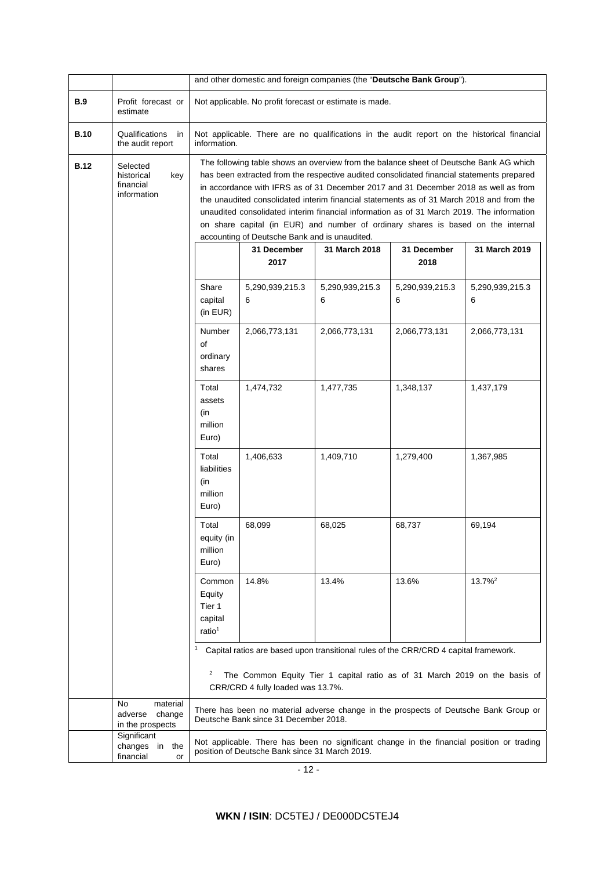|             |                                                           |                                                                                                                                                                                                                                                                                                                                                                                                                                                                                                                                                                                                                                                                          | and other domestic and foreign companies (the "Deutsche Bank Group").                       |                 |                         |                                                                                           |
|-------------|-----------------------------------------------------------|--------------------------------------------------------------------------------------------------------------------------------------------------------------------------------------------------------------------------------------------------------------------------------------------------------------------------------------------------------------------------------------------------------------------------------------------------------------------------------------------------------------------------------------------------------------------------------------------------------------------------------------------------------------------------|---------------------------------------------------------------------------------------------|-----------------|-------------------------|-------------------------------------------------------------------------------------------|
| <b>B.9</b>  | Profit forecast or<br>estimate                            | Not applicable. No profit forecast or estimate is made.                                                                                                                                                                                                                                                                                                                                                                                                                                                                                                                                                                                                                  |                                                                                             |                 |                         |                                                                                           |
| <b>B.10</b> | Qualifications<br>in<br>the audit report                  | information.                                                                                                                                                                                                                                                                                                                                                                                                                                                                                                                                                                                                                                                             | Not applicable. There are no qualifications in the audit report on the historical financial |                 |                         |                                                                                           |
| <b>B.12</b> | Selected<br>historical<br>key<br>financial<br>information | The following table shows an overview from the balance sheet of Deutsche Bank AG which<br>has been extracted from the respective audited consolidated financial statements prepared<br>in accordance with IFRS as of 31 December 2017 and 31 December 2018 as well as from<br>the unaudited consolidated interim financial statements as of 31 March 2018 and from the<br>unaudited consolidated interim financial information as of 31 March 2019. The information<br>on share capital (in EUR) and number of ordinary shares is based on the internal<br>accounting of Deutsche Bank and is unaudited.<br>31 December<br>31 March 2019<br>31 December<br>31 March 2018 |                                                                                             |                 |                         |                                                                                           |
|             |                                                           | Share                                                                                                                                                                                                                                                                                                                                                                                                                                                                                                                                                                                                                                                                    | 2017<br>5,290,939,215.3                                                                     | 5,290,939,215.3 | 2018<br>5,290,939,215.3 | 5,290,939,215.3                                                                           |
|             |                                                           | capital<br>(in EUR)                                                                                                                                                                                                                                                                                                                                                                                                                                                                                                                                                                                                                                                      | 6                                                                                           | 6               | 6                       | 6                                                                                         |
|             |                                                           | Number<br>of<br>ordinary<br>shares                                                                                                                                                                                                                                                                                                                                                                                                                                                                                                                                                                                                                                       | 2,066,773,131                                                                               | 2,066,773,131   | 2,066,773,131           | 2,066,773,131                                                                             |
|             |                                                           | Total<br>assets<br>(in<br>million<br>Euro)                                                                                                                                                                                                                                                                                                                                                                                                                                                                                                                                                                                                                               | 1,474,732                                                                                   | 1,477,735       | 1,348,137               | 1,437,179                                                                                 |
|             |                                                           | Total<br>liabilities<br>(in<br>million<br>Euro)                                                                                                                                                                                                                                                                                                                                                                                                                                                                                                                                                                                                                          | 1,406,633                                                                                   | 1,409,710       | 1,279,400               | 1,367,985                                                                                 |
|             |                                                           | Total<br>equity (in<br>million<br>Euro)                                                                                                                                                                                                                                                                                                                                                                                                                                                                                                                                                                                                                                  | 68,099                                                                                      | 68,025          | 68,737                  | 69,194                                                                                    |
|             |                                                           | Common<br>Equity<br>Tier 1<br>capital<br>ratio <sup>1</sup>                                                                                                                                                                                                                                                                                                                                                                                                                                                                                                                                                                                                              | 14.8%                                                                                       | 13.4%           | 13.6%                   | $13.7\%$ <sup>2</sup>                                                                     |
|             |                                                           | Capital ratios are based upon transitional rules of the CRR/CRD 4 capital framework.<br>2<br>The Common Equity Tier 1 capital ratio as of 31 March 2019 on the basis of<br>CRR/CRD 4 fully loaded was 13.7%.                                                                                                                                                                                                                                                                                                                                                                                                                                                             |                                                                                             |                 |                         |                                                                                           |
|             | No<br>material<br>adverse<br>change<br>in the prospects   |                                                                                                                                                                                                                                                                                                                                                                                                                                                                                                                                                                                                                                                                          | Deutsche Bank since 31 December 2018.                                                       |                 |                         | There has been no material adverse change in the prospects of Deutsche Bank Group or      |
|             | Significant<br>changes in<br>the<br>financial<br>or       |                                                                                                                                                                                                                                                                                                                                                                                                                                                                                                                                                                                                                                                                          | position of Deutsche Bank since 31 March 2019.                                              |                 |                         | Not applicable. There has been no significant change in the financial position or trading |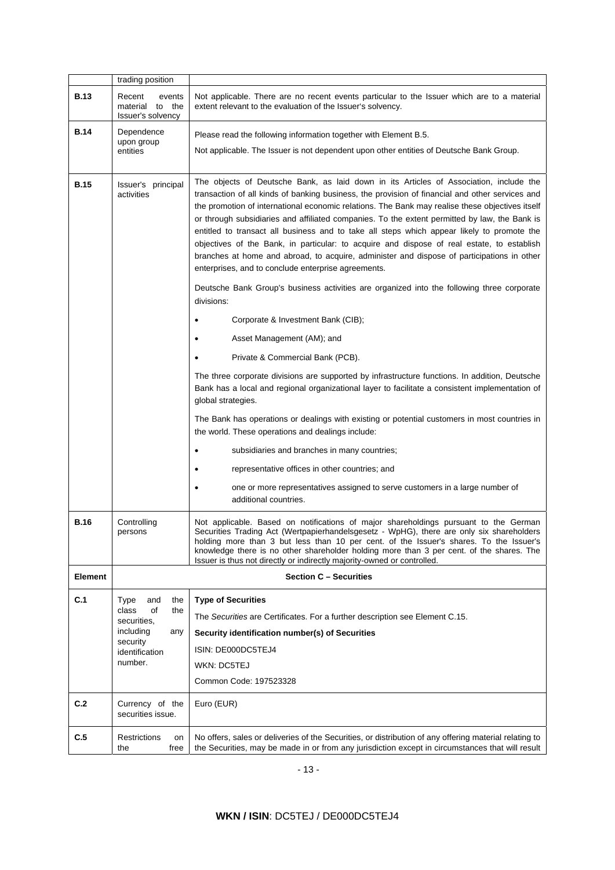|                           | trading position                                         |                                                                                                                                                                                                                                                                                                                                                                                                                                                                                                                                                                                                                                                                                                                                                |  |
|---------------------------|----------------------------------------------------------|------------------------------------------------------------------------------------------------------------------------------------------------------------------------------------------------------------------------------------------------------------------------------------------------------------------------------------------------------------------------------------------------------------------------------------------------------------------------------------------------------------------------------------------------------------------------------------------------------------------------------------------------------------------------------------------------------------------------------------------------|--|
| <b>B.13</b>               | Recent<br>events<br>material to the<br>Issuer's solvency | Not applicable. There are no recent events particular to the Issuer which are to a material<br>extent relevant to the evaluation of the Issuer's solvency.                                                                                                                                                                                                                                                                                                                                                                                                                                                                                                                                                                                     |  |
| <b>B.14</b>               | Dependence<br>upon group<br>entities                     | Please read the following information together with Element B.5.<br>Not applicable. The Issuer is not dependent upon other entities of Deutsche Bank Group.                                                                                                                                                                                                                                                                                                                                                                                                                                                                                                                                                                                    |  |
| <b>B.15</b>               | Issuer's principal<br>activities                         | The objects of Deutsche Bank, as laid down in its Articles of Association, include the<br>transaction of all kinds of banking business, the provision of financial and other services and<br>the promotion of international economic relations. The Bank may realise these objectives itself<br>or through subsidiaries and affiliated companies. To the extent permitted by law, the Bank is<br>entitled to transact all business and to take all steps which appear likely to promote the<br>objectives of the Bank, in particular: to acquire and dispose of real estate, to establish<br>branches at home and abroad, to acquire, administer and dispose of participations in other<br>enterprises, and to conclude enterprise agreements. |  |
|                           |                                                          | Deutsche Bank Group's business activities are organized into the following three corporate<br>divisions:                                                                                                                                                                                                                                                                                                                                                                                                                                                                                                                                                                                                                                       |  |
|                           |                                                          | Corporate & Investment Bank (CIB);                                                                                                                                                                                                                                                                                                                                                                                                                                                                                                                                                                                                                                                                                                             |  |
|                           |                                                          | Asset Management (AM); and                                                                                                                                                                                                                                                                                                                                                                                                                                                                                                                                                                                                                                                                                                                     |  |
|                           |                                                          | Private & Commercial Bank (PCB).                                                                                                                                                                                                                                                                                                                                                                                                                                                                                                                                                                                                                                                                                                               |  |
|                           |                                                          | The three corporate divisions are supported by infrastructure functions. In addition, Deutsche<br>Bank has a local and regional organizational layer to facilitate a consistent implementation of<br>global strategies.                                                                                                                                                                                                                                                                                                                                                                                                                                                                                                                        |  |
|                           |                                                          | The Bank has operations or dealings with existing or potential customers in most countries in<br>the world. These operations and dealings include:                                                                                                                                                                                                                                                                                                                                                                                                                                                                                                                                                                                             |  |
|                           |                                                          | subsidiaries and branches in many countries;<br>٠                                                                                                                                                                                                                                                                                                                                                                                                                                                                                                                                                                                                                                                                                              |  |
|                           |                                                          | representative offices in other countries; and                                                                                                                                                                                                                                                                                                                                                                                                                                                                                                                                                                                                                                                                                                 |  |
|                           |                                                          | one or more representatives assigned to serve customers in a large number of<br>additional countries.                                                                                                                                                                                                                                                                                                                                                                                                                                                                                                                                                                                                                                          |  |
| <b>B.16</b>               | Controlling<br>persons                                   | Not applicable. Based on notifications of major shareholdings pursuant to the German<br>Securities Trading Act (Wertpapierhandelsgesetz - WpHG), there are only six shareholders<br>holding more than 3 but less than 10 per cent. of the Issuer's shares. To the Issuer's<br>knowledge there is no other shareholder holding more than 3 per cent. of the shares. The<br>Issuer is thus not directly or indirectly majority-owned or controlled.                                                                                                                                                                                                                                                                                              |  |
| <b>Element</b>            | <b>Section C - Securities</b>                            |                                                                                                                                                                                                                                                                                                                                                                                                                                                                                                                                                                                                                                                                                                                                                |  |
| C.1                       | Type<br>the<br>and<br>of<br>class                        | <b>Type of Securities</b>                                                                                                                                                                                                                                                                                                                                                                                                                                                                                                                                                                                                                                                                                                                      |  |
|                           | the<br>securities.                                       | The Securities are Certificates. For a further description see Element C.15.                                                                                                                                                                                                                                                                                                                                                                                                                                                                                                                                                                                                                                                                   |  |
|                           | including<br>any<br>security                             | Security identification number(s) of Securities                                                                                                                                                                                                                                                                                                                                                                                                                                                                                                                                                                                                                                                                                                |  |
| identification<br>number. |                                                          | ISIN: DE000DC5TEJ4                                                                                                                                                                                                                                                                                                                                                                                                                                                                                                                                                                                                                                                                                                                             |  |
|                           |                                                          | WKN: DC5TEJ<br>Common Code: 197523328                                                                                                                                                                                                                                                                                                                                                                                                                                                                                                                                                                                                                                                                                                          |  |
|                           |                                                          |                                                                                                                                                                                                                                                                                                                                                                                                                                                                                                                                                                                                                                                                                                                                                |  |
| C.2                       | Currency of the<br>securities issue.                     | Euro (EUR)                                                                                                                                                                                                                                                                                                                                                                                                                                                                                                                                                                                                                                                                                                                                     |  |
| C.5                       | <b>Restrictions</b><br>on<br>free<br>the                 | No offers, sales or deliveries of the Securities, or distribution of any offering material relating to<br>the Securities, may be made in or from any jurisdiction except in circumstances that will result                                                                                                                                                                                                                                                                                                                                                                                                                                                                                                                                     |  |

- 13 -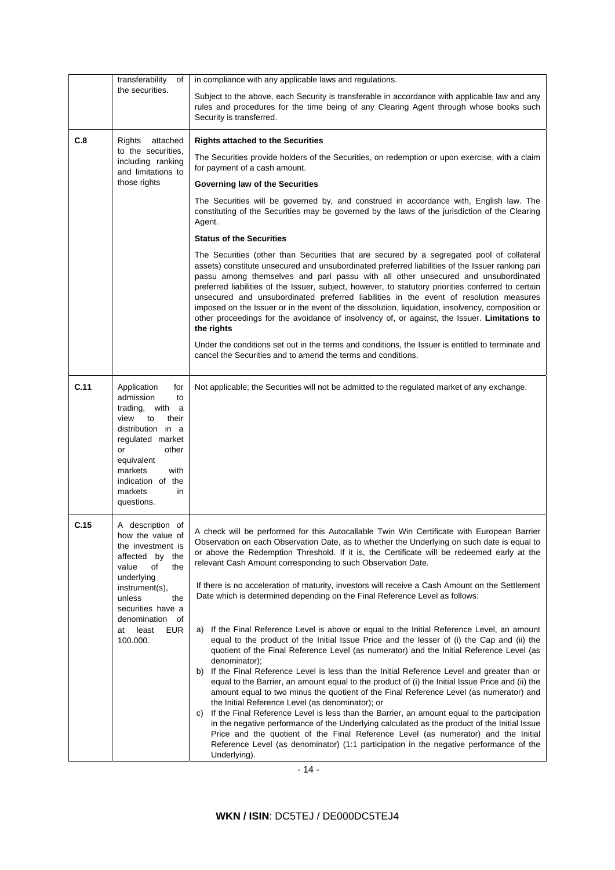|      | transferability<br>of                                                                                                                                                                                                            | in compliance with any applicable laws and regulations.                                                                                                                                                                                                                                                                                                                                                                                                                                                                                                                                                                                                                                                                                                                                                                                                                                                                                                                                                                                                                                                                                                                                                                                                                                                                                                                                                                                                                                                                                                                                                          |  |
|------|----------------------------------------------------------------------------------------------------------------------------------------------------------------------------------------------------------------------------------|------------------------------------------------------------------------------------------------------------------------------------------------------------------------------------------------------------------------------------------------------------------------------------------------------------------------------------------------------------------------------------------------------------------------------------------------------------------------------------------------------------------------------------------------------------------------------------------------------------------------------------------------------------------------------------------------------------------------------------------------------------------------------------------------------------------------------------------------------------------------------------------------------------------------------------------------------------------------------------------------------------------------------------------------------------------------------------------------------------------------------------------------------------------------------------------------------------------------------------------------------------------------------------------------------------------------------------------------------------------------------------------------------------------------------------------------------------------------------------------------------------------------------------------------------------------------------------------------------------------|--|
|      | the securities.                                                                                                                                                                                                                  | Subject to the above, each Security is transferable in accordance with applicable law and any<br>rules and procedures for the time being of any Clearing Agent through whose books such<br>Security is transferred.                                                                                                                                                                                                                                                                                                                                                                                                                                                                                                                                                                                                                                                                                                                                                                                                                                                                                                                                                                                                                                                                                                                                                                                                                                                                                                                                                                                              |  |
| C.8  | Rights attached                                                                                                                                                                                                                  | <b>Rights attached to the Securities</b>                                                                                                                                                                                                                                                                                                                                                                                                                                                                                                                                                                                                                                                                                                                                                                                                                                                                                                                                                                                                                                                                                                                                                                                                                                                                                                                                                                                                                                                                                                                                                                         |  |
|      | to the securities,<br>including ranking<br>and limitations to                                                                                                                                                                    | The Securities provide holders of the Securities, on redemption or upon exercise, with a claim<br>for payment of a cash amount.                                                                                                                                                                                                                                                                                                                                                                                                                                                                                                                                                                                                                                                                                                                                                                                                                                                                                                                                                                                                                                                                                                                                                                                                                                                                                                                                                                                                                                                                                  |  |
|      | those rights                                                                                                                                                                                                                     | Governing law of the Securities                                                                                                                                                                                                                                                                                                                                                                                                                                                                                                                                                                                                                                                                                                                                                                                                                                                                                                                                                                                                                                                                                                                                                                                                                                                                                                                                                                                                                                                                                                                                                                                  |  |
|      |                                                                                                                                                                                                                                  | The Securities will be governed by, and construed in accordance with, English law. The<br>constituting of the Securities may be governed by the laws of the jurisdiction of the Clearing<br>Agent.                                                                                                                                                                                                                                                                                                                                                                                                                                                                                                                                                                                                                                                                                                                                                                                                                                                                                                                                                                                                                                                                                                                                                                                                                                                                                                                                                                                                               |  |
|      |                                                                                                                                                                                                                                  | <b>Status of the Securities</b>                                                                                                                                                                                                                                                                                                                                                                                                                                                                                                                                                                                                                                                                                                                                                                                                                                                                                                                                                                                                                                                                                                                                                                                                                                                                                                                                                                                                                                                                                                                                                                                  |  |
|      |                                                                                                                                                                                                                                  | The Securities (other than Securities that are secured by a segregated pool of collateral<br>assets) constitute unsecured and unsubordinated preferred liabilities of the Issuer ranking pari<br>passu among themselves and pari passu with all other unsecured and unsubordinated<br>preferred liabilities of the Issuer, subject, however, to statutory priorities conferred to certain<br>unsecured and unsubordinated preferred liabilities in the event of resolution measures<br>imposed on the Issuer or in the event of the dissolution, liquidation, insolvency, composition or<br>other proceedings for the avoidance of insolvency of, or against, the Issuer. Limitations to<br>the rights                                                                                                                                                                                                                                                                                                                                                                                                                                                                                                                                                                                                                                                                                                                                                                                                                                                                                                           |  |
|      |                                                                                                                                                                                                                                  | Under the conditions set out in the terms and conditions, the Issuer is entitled to terminate and<br>cancel the Securities and to amend the terms and conditions.                                                                                                                                                                                                                                                                                                                                                                                                                                                                                                                                                                                                                                                                                                                                                                                                                                                                                                                                                                                                                                                                                                                                                                                                                                                                                                                                                                                                                                                |  |
| C.11 | Application<br>for<br>admission<br>to<br>trading, with<br>a<br>view<br>to<br>their<br>distribution in a<br>regulated market<br>or<br>other<br>equivalent<br>markets<br>with<br>indication of the<br>markets<br>in<br>questions.  | Not applicable; the Securities will not be admitted to the regulated market of any exchange.                                                                                                                                                                                                                                                                                                                                                                                                                                                                                                                                                                                                                                                                                                                                                                                                                                                                                                                                                                                                                                                                                                                                                                                                                                                                                                                                                                                                                                                                                                                     |  |
| C.15 | A description of<br>how the value of<br>the investment is<br>affected by the<br>value<br>of<br>the<br>underlying<br>instrument(s),<br>unless<br>the<br>securities have a<br>denomination<br>of<br>least<br>EUR<br>at<br>100.000. | A check will be performed for this Autocallable Twin Win Certificate with European Barrier<br>Observation on each Observation Date, as to whether the Underlying on such date is equal to<br>or above the Redemption Threshold. If it is, the Certificate will be redeemed early at the<br>relevant Cash Amount corresponding to such Observation Date.<br>If there is no acceleration of maturity, investors will receive a Cash Amount on the Settlement<br>Date which is determined depending on the Final Reference Level as follows:<br>If the Final Reference Level is above or equal to the Initial Reference Level, an amount<br>a)<br>equal to the product of the Initial Issue Price and the lesser of (i) the Cap and (ii) the<br>quotient of the Final Reference Level (as numerator) and the Initial Reference Level (as<br>denominator);<br>If the Final Reference Level is less than the Initial Reference Level and greater than or<br>b)<br>equal to the Barrier, an amount equal to the product of (i) the Initial Issue Price and (ii) the<br>amount equal to two minus the quotient of the Final Reference Level (as numerator) and<br>the Initial Reference Level (as denominator); or<br>If the Final Reference Level is less than the Barrier, an amount equal to the participation<br>C)<br>in the negative performance of the Underlying calculated as the product of the Initial Issue<br>Price and the quotient of the Final Reference Level (as numerator) and the Initial<br>Reference Level (as denominator) (1:1 participation in the negative performance of the<br>Underlying). |  |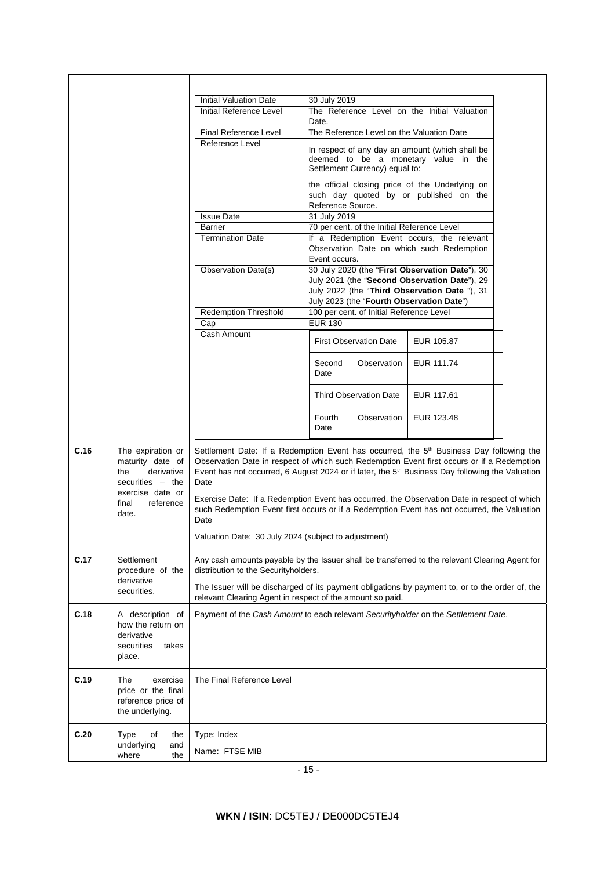|                                                                                        |                                                                                                                                                                          | <b>Initial Valuation Date</b>                                                                                                                                                                                                                                                                                            | 30 July 2019                                                                                                                                |            |  |  |
|----------------------------------------------------------------------------------------|--------------------------------------------------------------------------------------------------------------------------------------------------------------------------|--------------------------------------------------------------------------------------------------------------------------------------------------------------------------------------------------------------------------------------------------------------------------------------------------------------------------|---------------------------------------------------------------------------------------------------------------------------------------------|------------|--|--|
|                                                                                        |                                                                                                                                                                          | Initial Reference Level                                                                                                                                                                                                                                                                                                  | The Reference Level on the Initial Valuation<br>Date.                                                                                       |            |  |  |
|                                                                                        |                                                                                                                                                                          | Final Reference Level                                                                                                                                                                                                                                                                                                    | The Reference Level on the Valuation Date                                                                                                   |            |  |  |
|                                                                                        |                                                                                                                                                                          | Reference Level                                                                                                                                                                                                                                                                                                          | In respect of any day an amount (which shall be<br>deemed to be a monetary value in the<br>Settlement Currency) equal to:                   |            |  |  |
|                                                                                        |                                                                                                                                                                          |                                                                                                                                                                                                                                                                                                                          | the official closing price of the Underlying on<br>such day quoted by or published on the<br>Reference Source.                              |            |  |  |
|                                                                                        |                                                                                                                                                                          | <b>Issue Date</b>                                                                                                                                                                                                                                                                                                        | 31 July 2019                                                                                                                                |            |  |  |
|                                                                                        |                                                                                                                                                                          | Barrier                                                                                                                                                                                                                                                                                                                  | 70 per cent. of the Initial Reference Level                                                                                                 |            |  |  |
|                                                                                        |                                                                                                                                                                          | <b>Termination Date</b>                                                                                                                                                                                                                                                                                                  | If a Redemption Event occurs, the relevant<br>Observation Date on which such Redemption                                                     |            |  |  |
|                                                                                        |                                                                                                                                                                          | <b>Observation Date(s)</b>                                                                                                                                                                                                                                                                                               | Event occurs.<br>30 July 2020 (the "First Observation Date"), 30                                                                            |            |  |  |
|                                                                                        |                                                                                                                                                                          |                                                                                                                                                                                                                                                                                                                          | July 2021 (the "Second Observation Date"), 29<br>July 2022 (the "Third Observation Date "), 31<br>July 2023 (the "Fourth Observation Date") |            |  |  |
|                                                                                        |                                                                                                                                                                          | <b>Redemption Threshold</b>                                                                                                                                                                                                                                                                                              | 100 per cent. of Initial Reference Level                                                                                                    |            |  |  |
|                                                                                        |                                                                                                                                                                          | Cap                                                                                                                                                                                                                                                                                                                      | <b>EUR 130</b>                                                                                                                              |            |  |  |
|                                                                                        |                                                                                                                                                                          | Cash Amount                                                                                                                                                                                                                                                                                                              | <b>First Observation Date</b>                                                                                                               | EUR 105.87 |  |  |
|                                                                                        |                                                                                                                                                                          |                                                                                                                                                                                                                                                                                                                          | Second<br>Observation<br>Date                                                                                                               | EUR 111.74 |  |  |
|                                                                                        |                                                                                                                                                                          |                                                                                                                                                                                                                                                                                                                          | <b>Third Observation Date</b>                                                                                                               | EUR 117.61 |  |  |
|                                                                                        |                                                                                                                                                                          |                                                                                                                                                                                                                                                                                                                          | Fourth<br>Observation<br>Date                                                                                                               | EUR 123.48 |  |  |
| C.16<br>The expiration or<br>maturity date of<br>derivative<br>the<br>securities - the |                                                                                                                                                                          | Settlement Date: If a Redemption Event has occurred, the 5 <sup>th</sup> Business Day following the<br>Observation Date in respect of which such Redemption Event first occurs or if a Redemption<br>Event has not occurred, 6 August 2024 or if later, the 5 <sup>th</sup> Business Day following the Valuation<br>Date |                                                                                                                                             |            |  |  |
|                                                                                        | exercise date or<br>reference<br>final<br>date.                                                                                                                          | Exercise Date: If a Redemption Event has occurred, the Observation Date in respect of which<br>such Redemption Event first occurs or if a Redemption Event has not occurred, the Valuation<br>Date                                                                                                                       |                                                                                                                                             |            |  |  |
|                                                                                        |                                                                                                                                                                          | Valuation Date: 30 July 2024 (subject to adjustment)                                                                                                                                                                                                                                                                     |                                                                                                                                             |            |  |  |
| C.17                                                                                   | Settlement<br>Any cash amounts payable by the Issuer shall be transferred to the relevant Clearing Agent for<br>procedure of the<br>distribution to the Securityholders. |                                                                                                                                                                                                                                                                                                                          |                                                                                                                                             |            |  |  |
| derivative<br>securities.                                                              |                                                                                                                                                                          | The Issuer will be discharged of its payment obligations by payment to, or to the order of, the<br>relevant Clearing Agent in respect of the amount so paid.                                                                                                                                                             |                                                                                                                                             |            |  |  |
| C.18                                                                                   | A description of<br>how the return on<br>derivative<br>securities<br>takes<br>place.                                                                                     | Payment of the Cash Amount to each relevant Securityholder on the Settlement Date.                                                                                                                                                                                                                                       |                                                                                                                                             |            |  |  |
| C.19                                                                                   | The<br>exercise<br>price or the final<br>reference price of<br>the underlying.                                                                                           | The Final Reference Level                                                                                                                                                                                                                                                                                                |                                                                                                                                             |            |  |  |
| C.20                                                                                   | Type<br>of<br>the<br>underlying<br>and                                                                                                                                   | Type: Index                                                                                                                                                                                                                                                                                                              |                                                                                                                                             |            |  |  |
|                                                                                        | where<br>the                                                                                                                                                             | Name: FTSE MIB                                                                                                                                                                                                                                                                                                           |                                                                                                                                             |            |  |  |

- 15 -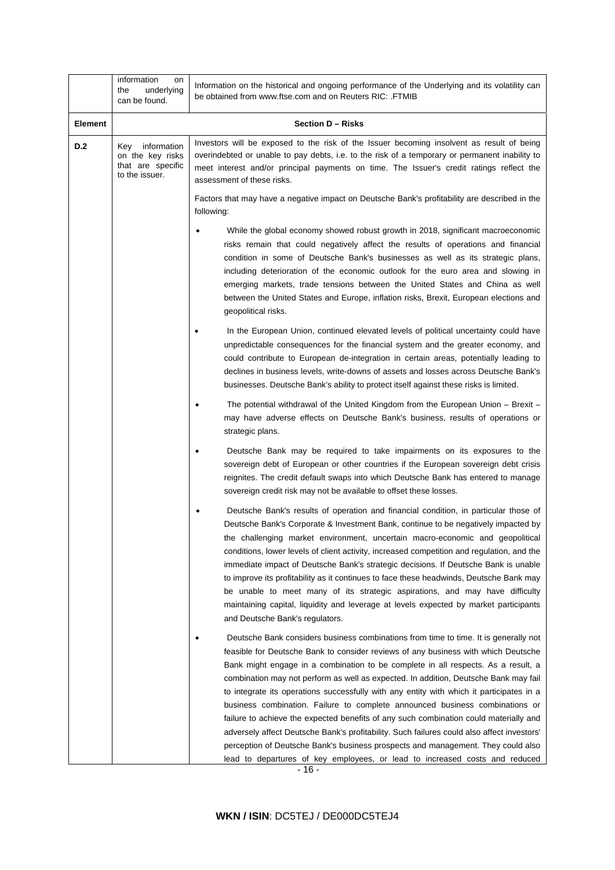|                | information<br>on<br>underlying<br>the<br>can be found.                       | Information on the historical and ongoing performance of the Underlying and its volatility can<br>be obtained from www.ftse.com and on Reuters RIC: .FTMIB                                                                                                                                                                                                                                                                                                                                                                                                                                                                                                                                                                                                                                                                                                                                    |  |
|----------------|-------------------------------------------------------------------------------|-----------------------------------------------------------------------------------------------------------------------------------------------------------------------------------------------------------------------------------------------------------------------------------------------------------------------------------------------------------------------------------------------------------------------------------------------------------------------------------------------------------------------------------------------------------------------------------------------------------------------------------------------------------------------------------------------------------------------------------------------------------------------------------------------------------------------------------------------------------------------------------------------|--|
| <b>Element</b> |                                                                               | Section D - Risks                                                                                                                                                                                                                                                                                                                                                                                                                                                                                                                                                                                                                                                                                                                                                                                                                                                                             |  |
| <b>D.2</b>     | information<br>Key<br>on the key risks<br>that are specific<br>to the issuer. | Investors will be exposed to the risk of the Issuer becoming insolvent as result of being<br>overindebted or unable to pay debts, i.e. to the risk of a temporary or permanent inability to<br>meet interest and/or principal payments on time. The Issuer's credit ratings reflect the<br>assessment of these risks.                                                                                                                                                                                                                                                                                                                                                                                                                                                                                                                                                                         |  |
|                |                                                                               | Factors that may have a negative impact on Deutsche Bank's profitability are described in the<br>following:                                                                                                                                                                                                                                                                                                                                                                                                                                                                                                                                                                                                                                                                                                                                                                                   |  |
|                |                                                                               | While the global economy showed robust growth in 2018, significant macroeconomic<br>risks remain that could negatively affect the results of operations and financial<br>condition in some of Deutsche Bank's businesses as well as its strategic plans,<br>including deterioration of the economic outlook for the euro area and slowing in<br>emerging markets, trade tensions between the United States and China as well<br>between the United States and Europe, inflation risks, Brexit, European elections and<br>geopolitical risks.                                                                                                                                                                                                                                                                                                                                                  |  |
|                |                                                                               | In the European Union, continued elevated levels of political uncertainty could have<br>unpredictable consequences for the financial system and the greater economy, and<br>could contribute to European de-integration in certain areas, potentially leading to<br>declines in business levels, write-downs of assets and losses across Deutsche Bank's<br>businesses. Deutsche Bank's ability to protect itself against these risks is limited.                                                                                                                                                                                                                                                                                                                                                                                                                                             |  |
|                |                                                                               | The potential withdrawal of the United Kingdom from the European Union – Brexit –<br>may have adverse effects on Deutsche Bank's business, results of operations or<br>strategic plans.                                                                                                                                                                                                                                                                                                                                                                                                                                                                                                                                                                                                                                                                                                       |  |
|                |                                                                               | Deutsche Bank may be required to take impairments on its exposures to the<br>sovereign debt of European or other countries if the European sovereign debt crisis<br>reignites. The credit default swaps into which Deutsche Bank has entered to manage<br>sovereign credit risk may not be available to offset these losses.                                                                                                                                                                                                                                                                                                                                                                                                                                                                                                                                                                  |  |
|                |                                                                               | Deutsche Bank's results of operation and financial condition, in particular those of<br>Deutsche Bank's Corporate & Investment Bank, continue to be negatively impacted by<br>the challenging market environment, uncertain macro-economic and geopolitical<br>conditions, lower levels of client activity, increased competition and regulation, and the<br>immediate impact of Deutsche Bank's strategic decisions. If Deutsche Bank is unable<br>to improve its profitability as it continues to face these headwinds, Deutsche Bank may<br>be unable to meet many of its strategic aspirations, and may have difficulty<br>maintaining capital, liquidity and leverage at levels expected by market participants<br>and Deutsche Bank's regulators.                                                                                                                                       |  |
|                |                                                                               | Deutsche Bank considers business combinations from time to time. It is generally not<br>feasible for Deutsche Bank to consider reviews of any business with which Deutsche<br>Bank might engage in a combination to be complete in all respects. As a result, a<br>combination may not perform as well as expected. In addition, Deutsche Bank may fail<br>to integrate its operations successfully with any entity with which it participates in a<br>business combination. Failure to complete announced business combinations or<br>failure to achieve the expected benefits of any such combination could materially and<br>adversely affect Deutsche Bank's profitability. Such failures could also affect investors'<br>perception of Deutsche Bank's business prospects and management. They could also<br>lead to departures of key employees, or lead to increased costs and reduced |  |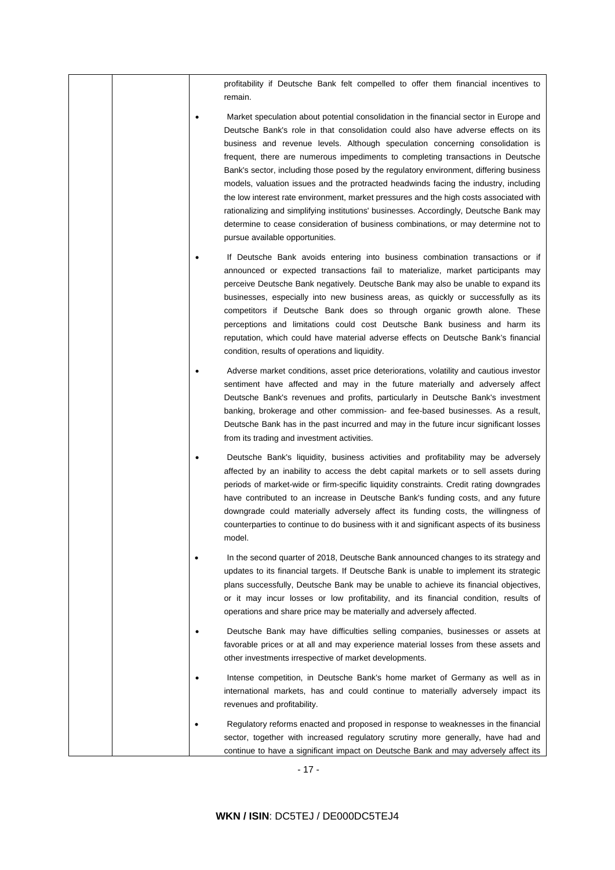profitability if Deutsche Bank felt compelled to offer them financial incentives to remain.

- Market speculation about potential consolidation in the financial sector in Europe and Deutsche Bank's role in that consolidation could also have adverse effects on its business and revenue levels. Although speculation concerning consolidation is frequent, there are numerous impediments to completing transactions in Deutsche Bank's sector, including those posed by the regulatory environment, differing business models, valuation issues and the protracted headwinds facing the industry, including the low interest rate environment, market pressures and the high costs associated with rationalizing and simplifying institutions' businesses. Accordingly, Deutsche Bank may determine to cease consideration of business combinations, or may determine not to pursue available opportunities.
- If Deutsche Bank avoids entering into business combination transactions or if announced or expected transactions fail to materialize, market participants may perceive Deutsche Bank negatively. Deutsche Bank may also be unable to expand its businesses, especially into new business areas, as quickly or successfully as its competitors if Deutsche Bank does so through organic growth alone. These perceptions and limitations could cost Deutsche Bank business and harm its reputation, which could have material adverse effects on Deutsche Bank's financial condition, results of operations and liquidity.
- Adverse market conditions, asset price deteriorations, volatility and cautious investor sentiment have affected and may in the future materially and adversely affect Deutsche Bank's revenues and profits, particularly in Deutsche Bank's investment banking, brokerage and other commission- and fee-based businesses. As a result, Deutsche Bank has in the past incurred and may in the future incur significant losses from its trading and investment activities.
- Deutsche Bank's liquidity, business activities and profitability may be adversely affected by an inability to access the debt capital markets or to sell assets during periods of market-wide or firm-specific liquidity constraints. Credit rating downgrades have contributed to an increase in Deutsche Bank's funding costs, and any future downgrade could materially adversely affect its funding costs, the willingness of counterparties to continue to do business with it and significant aspects of its business model.
	- In the second quarter of 2018, Deutsche Bank announced changes to its strategy and updates to its financial targets. If Deutsche Bank is unable to implement its strategic plans successfully, Deutsche Bank may be unable to achieve its financial objectives, or it may incur losses or low profitability, and its financial condition, results of operations and share price may be materially and adversely affected.
- Deutsche Bank may have difficulties selling companies, businesses or assets at favorable prices or at all and may experience material losses from these assets and other investments irrespective of market developments.
- Intense competition, in Deutsche Bank's home market of Germany as well as in international markets, has and could continue to materially adversely impact its revenues and profitability.
- Regulatory reforms enacted and proposed in response to weaknesses in the financial sector, together with increased regulatory scrutiny more generally, have had and continue to have a significant impact on Deutsche Bank and may adversely affect its

- 17 -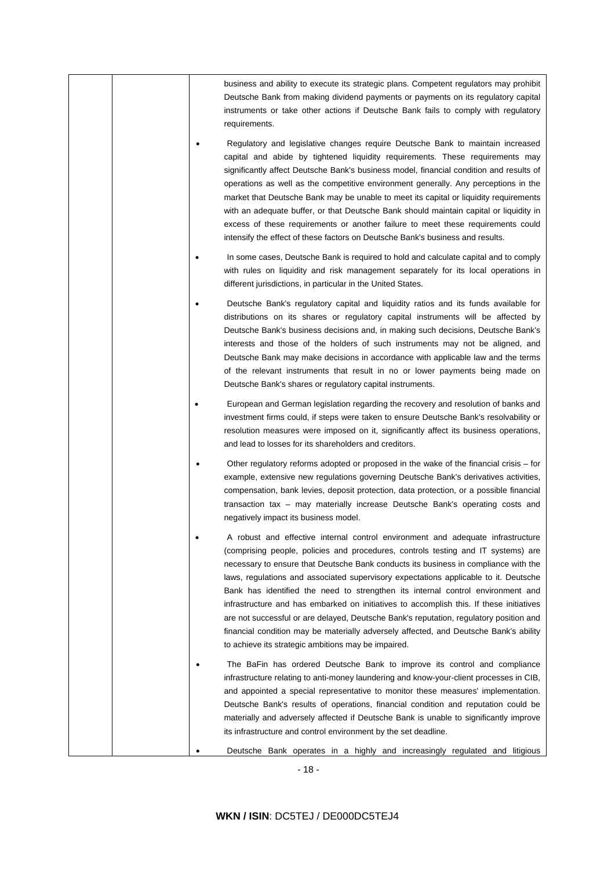|  | business and ability to execute its strategic plans. Competent regulators may prohibit<br>Deutsche Bank from making dividend payments or payments on its regulatory capital<br>instruments or take other actions if Deutsche Bank fails to comply with regulatory<br>requirements.                                                                                                                                                                                                                                                                                                                                                                                                                                                                                          |
|--|-----------------------------------------------------------------------------------------------------------------------------------------------------------------------------------------------------------------------------------------------------------------------------------------------------------------------------------------------------------------------------------------------------------------------------------------------------------------------------------------------------------------------------------------------------------------------------------------------------------------------------------------------------------------------------------------------------------------------------------------------------------------------------|
|  | Regulatory and legislative changes require Deutsche Bank to maintain increased<br>capital and abide by tightened liquidity requirements. These requirements may<br>significantly affect Deutsche Bank's business model, financial condition and results of<br>operations as well as the competitive environment generally. Any perceptions in the<br>market that Deutsche Bank may be unable to meet its capital or liquidity requirements<br>with an adequate buffer, or that Deutsche Bank should maintain capital or liquidity in<br>excess of these requirements or another failure to meet these requirements could<br>intensify the effect of these factors on Deutsche Bank's business and results.                                                                  |
|  | In some cases, Deutsche Bank is required to hold and calculate capital and to comply<br>with rules on liquidity and risk management separately for its local operations in<br>different jurisdictions, in particular in the United States.                                                                                                                                                                                                                                                                                                                                                                                                                                                                                                                                  |
|  | Deutsche Bank's regulatory capital and liquidity ratios and its funds available for<br>distributions on its shares or regulatory capital instruments will be affected by<br>Deutsche Bank's business decisions and, in making such decisions, Deutsche Bank's<br>interests and those of the holders of such instruments may not be aligned, and<br>Deutsche Bank may make decisions in accordance with applicable law and the terms<br>of the relevant instruments that result in no or lower payments being made on<br>Deutsche Bank's shares or regulatory capital instruments.                                                                                                                                                                                           |
|  | European and German legislation regarding the recovery and resolution of banks and<br>investment firms could, if steps were taken to ensure Deutsche Bank's resolvability or<br>resolution measures were imposed on it, significantly affect its business operations,<br>and lead to losses for its shareholders and creditors.                                                                                                                                                                                                                                                                                                                                                                                                                                             |
|  | Other regulatory reforms adopted or proposed in the wake of the financial crisis – for<br>example, extensive new regulations governing Deutsche Bank's derivatives activities,<br>compensation, bank levies, deposit protection, data protection, or a possible financial<br>transaction tax - may materially increase Deutsche Bank's operating costs and<br>negatively impact its business model.                                                                                                                                                                                                                                                                                                                                                                         |
|  | A robust and effective internal control environment and adequate infrastructure<br>(comprising people, policies and procedures, controls testing and IT systems) are<br>necessary to ensure that Deutsche Bank conducts its business in compliance with the<br>laws, regulations and associated supervisory expectations applicable to it. Deutsche<br>Bank has identified the need to strengthen its internal control environment and<br>infrastructure and has embarked on initiatives to accomplish this. If these initiatives<br>are not successful or are delayed, Deutsche Bank's reputation, regulatory position and<br>financial condition may be materially adversely affected, and Deutsche Bank's ability<br>to achieve its strategic ambitions may be impaired. |
|  | The BaFin has ordered Deutsche Bank to improve its control and compliance<br>infrastructure relating to anti-money laundering and know-your-client processes in CIB,<br>and appointed a special representative to monitor these measures' implementation.<br>Deutsche Bank's results of operations, financial condition and reputation could be<br>materially and adversely affected if Deutsche Bank is unable to significantly improve<br>its infrastructure and control environment by the set deadline.                                                                                                                                                                                                                                                                 |
|  | Deutsche Bank operates in a highly and increasingly regulated and litigious                                                                                                                                                                                                                                                                                                                                                                                                                                                                                                                                                                                                                                                                                                 |

- 18 -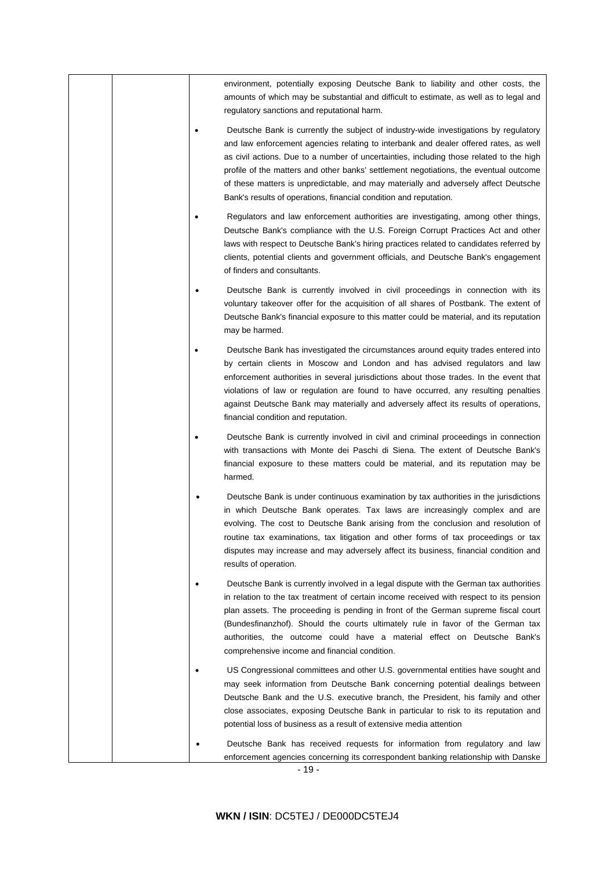|  | environment, potentially exposing Deutsche Bank to liability and other costs, the<br>amounts of which may be substantial and difficult to estimate, as well as to legal and<br>regulatory sanctions and reputational harm.                                                                                                                                                                                                                                                                                                   |
|--|------------------------------------------------------------------------------------------------------------------------------------------------------------------------------------------------------------------------------------------------------------------------------------------------------------------------------------------------------------------------------------------------------------------------------------------------------------------------------------------------------------------------------|
|  | Deutsche Bank is currently the subject of industry-wide investigations by regulatory<br>and law enforcement agencies relating to interbank and dealer offered rates, as well<br>as civil actions. Due to a number of uncertainties, including those related to the high<br>profile of the matters and other banks' settlement negotiations, the eventual outcome<br>of these matters is unpredictable, and may materially and adversely affect Deutsche<br>Bank's results of operations, financial condition and reputation. |
|  | Regulators and law enforcement authorities are investigating, among other things,<br>Deutsche Bank's compliance with the U.S. Foreign Corrupt Practices Act and other<br>laws with respect to Deutsche Bank's hiring practices related to candidates referred by<br>clients, potential clients and government officials, and Deutsche Bank's engagement<br>of finders and consultants.                                                                                                                                       |
|  | Deutsche Bank is currently involved in civil proceedings in connection with its<br>voluntary takeover offer for the acquisition of all shares of Postbank. The extent of<br>Deutsche Bank's financial exposure to this matter could be material, and its reputation<br>may be harmed.                                                                                                                                                                                                                                        |
|  | Deutsche Bank has investigated the circumstances around equity trades entered into<br>by certain clients in Moscow and London and has advised regulators and law<br>enforcement authorities in several jurisdictions about those trades. In the event that<br>violations of law or regulation are found to have occurred, any resulting penalties<br>against Deutsche Bank may materially and adversely affect its results of operations,<br>financial condition and reputation.                                             |
|  | Deutsche Bank is currently involved in civil and criminal proceedings in connection<br>with transactions with Monte dei Paschi di Siena. The extent of Deutsche Bank's<br>financial exposure to these matters could be material, and its reputation may be<br>harmed.                                                                                                                                                                                                                                                        |
|  | Deutsche Bank is under continuous examination by tax authorities in the jurisdictions<br>in which Deutsche Bank operates. Tax laws are increasingly complex and are<br>evolving. The cost to Deutsche Bank arising from the conclusion and resolution of<br>routine tax examinations, tax litigation and other forms of tax proceedings or tax<br>disputes may increase and may adversely affect its business, financial condition and<br>results of operation.                                                              |
|  | Deutsche Bank is currently involved in a legal dispute with the German tax authorities<br>in relation to the tax treatment of certain income received with respect to its pension<br>plan assets. The proceeding is pending in front of the German supreme fiscal court<br>(Bundesfinanzhof). Should the courts ultimately rule in favor of the German tax<br>authorities, the outcome could have a material effect on Deutsche Bank's<br>comprehensive income and financial condition.                                      |
|  | US Congressional committees and other U.S. governmental entities have sought and<br>may seek information from Deutsche Bank concerning potential dealings between<br>Deutsche Bank and the U.S. executive branch, the President, his family and other<br>close associates, exposing Deutsche Bank in particular to risk to its reputation and<br>potential loss of business as a result of extensive media attention                                                                                                         |
|  | Deutsche Bank has received requests for information from regulatory and law<br>enforcement agencies concerning its correspondent banking relationship with Danske                                                                                                                                                                                                                                                                                                                                                            |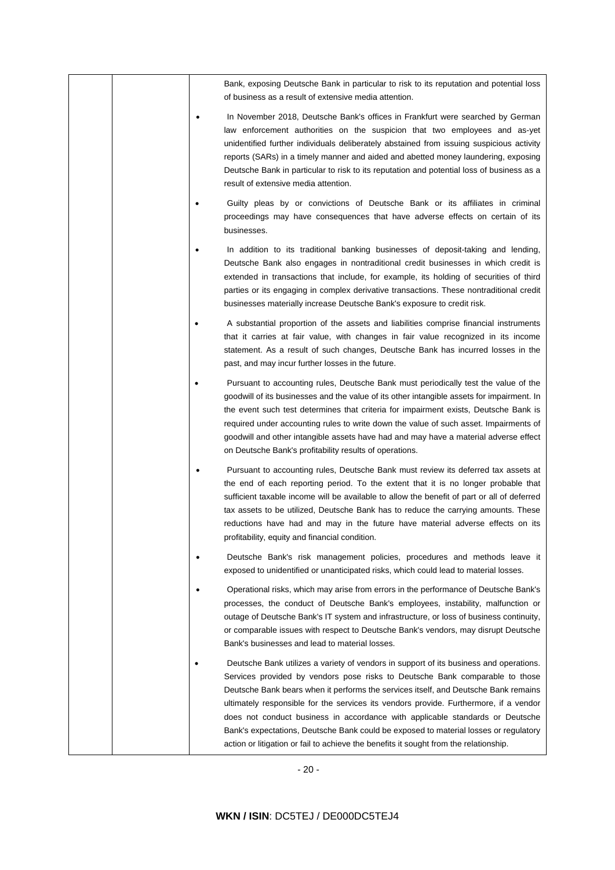|  | Bank, exposing Deutsche Bank in particular to risk to its reputation and potential loss<br>of business as a result of extensive media attention.                                                                                                                                                                                                                                                                                                                                                                                                                                                                         |
|--|--------------------------------------------------------------------------------------------------------------------------------------------------------------------------------------------------------------------------------------------------------------------------------------------------------------------------------------------------------------------------------------------------------------------------------------------------------------------------------------------------------------------------------------------------------------------------------------------------------------------------|
|  | In November 2018, Deutsche Bank's offices in Frankfurt were searched by German<br>law enforcement authorities on the suspicion that two employees and as-yet<br>unidentified further individuals deliberately abstained from issuing suspicious activity<br>reports (SARs) in a timely manner and aided and abetted money laundering, exposing<br>Deutsche Bank in particular to risk to its reputation and potential loss of business as a<br>result of extensive media attention.                                                                                                                                      |
|  | Guilty pleas by or convictions of Deutsche Bank or its affiliates in criminal<br>proceedings may have consequences that have adverse effects on certain of its<br>businesses.                                                                                                                                                                                                                                                                                                                                                                                                                                            |
|  | In addition to its traditional banking businesses of deposit-taking and lending,<br>Deutsche Bank also engages in nontraditional credit businesses in which credit is<br>extended in transactions that include, for example, its holding of securities of third<br>parties or its engaging in complex derivative transactions. These nontraditional credit<br>businesses materially increase Deutsche Bank's exposure to credit risk.                                                                                                                                                                                    |
|  | A substantial proportion of the assets and liabilities comprise financial instruments<br>that it carries at fair value, with changes in fair value recognized in its income<br>statement. As a result of such changes, Deutsche Bank has incurred losses in the<br>past, and may incur further losses in the future.                                                                                                                                                                                                                                                                                                     |
|  | Pursuant to accounting rules, Deutsche Bank must periodically test the value of the<br>goodwill of its businesses and the value of its other intangible assets for impairment. In<br>the event such test determines that criteria for impairment exists, Deutsche Bank is<br>required under accounting rules to write down the value of such asset. Impairments of<br>goodwill and other intangible assets have had and may have a material adverse effect<br>on Deutsche Bank's profitability results of operations.                                                                                                    |
|  | Pursuant to accounting rules, Deutsche Bank must review its deferred tax assets at<br>the end of each reporting period. To the extent that it is no longer probable that<br>sufficient taxable income will be available to allow the benefit of part or all of deferred<br>tax assets to be utilized, Deutsche Bank has to reduce the carrying amounts. These<br>reductions have had and may in the future have material adverse effects on its<br>profitability, equity and financial condition.                                                                                                                        |
|  | Deutsche Bank's risk management policies, procedures and methods leave it<br>exposed to unidentified or unanticipated risks, which could lead to material losses.                                                                                                                                                                                                                                                                                                                                                                                                                                                        |
|  | Operational risks, which may arise from errors in the performance of Deutsche Bank's<br>processes, the conduct of Deutsche Bank's employees, instability, malfunction or<br>outage of Deutsche Bank's IT system and infrastructure, or loss of business continuity,<br>or comparable issues with respect to Deutsche Bank's vendors, may disrupt Deutsche<br>Bank's businesses and lead to material losses.                                                                                                                                                                                                              |
|  | Deutsche Bank utilizes a variety of vendors in support of its business and operations.<br>Services provided by vendors pose risks to Deutsche Bank comparable to those<br>Deutsche Bank bears when it performs the services itself, and Deutsche Bank remains<br>ultimately responsible for the services its vendors provide. Furthermore, if a vendor<br>does not conduct business in accordance with applicable standards or Deutsche<br>Bank's expectations, Deutsche Bank could be exposed to material losses or regulatory<br>action or litigation or fail to achieve the benefits it sought from the relationship. |

- 20 -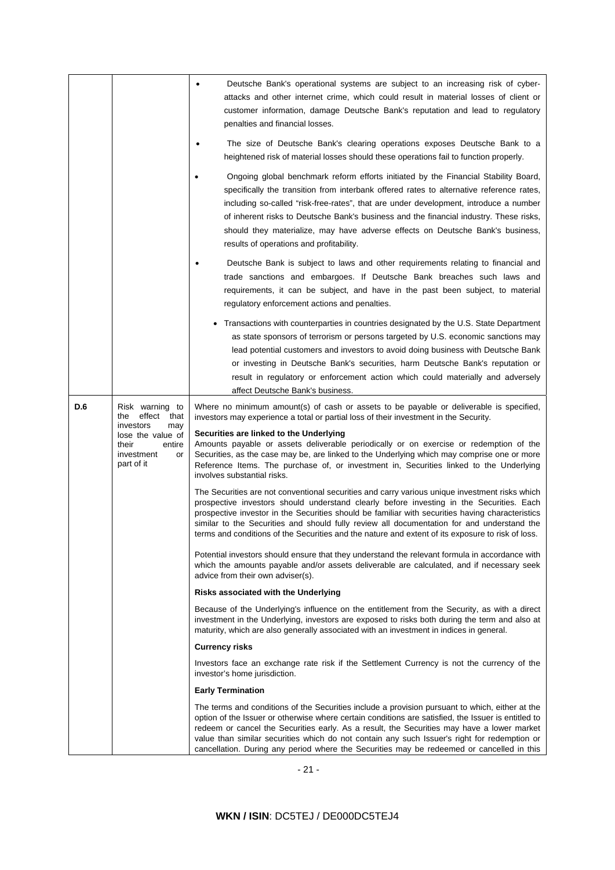|     |                                                                                                                                                                     | Deutsche Bank's operational systems are subject to an increasing risk of cyber-<br>٠<br>attacks and other internet crime, which could result in material losses of client or<br>customer information, damage Deutsche Bank's reputation and lead to regulatory<br>penalties and financial losses.                                                                                                                                                                                                 |
|-----|---------------------------------------------------------------------------------------------------------------------------------------------------------------------|---------------------------------------------------------------------------------------------------------------------------------------------------------------------------------------------------------------------------------------------------------------------------------------------------------------------------------------------------------------------------------------------------------------------------------------------------------------------------------------------------|
|     | The size of Deutsche Bank's clearing operations exposes Deutsche Bank to a<br>heightened risk of material losses should these operations fail to function properly. |                                                                                                                                                                                                                                                                                                                                                                                                                                                                                                   |
|     |                                                                                                                                                                     | Ongoing global benchmark reform efforts initiated by the Financial Stability Board,<br>specifically the transition from interbank offered rates to alternative reference rates,<br>including so-called "risk-free-rates", that are under development, introduce a number<br>of inherent risks to Deutsche Bank's business and the financial industry. These risks,<br>should they materialize, may have adverse effects on Deutsche Bank's business,<br>results of operations and profitability.  |
|     |                                                                                                                                                                     | Deutsche Bank is subject to laws and other requirements relating to financial and<br>trade sanctions and embargoes. If Deutsche Bank breaches such laws and<br>requirements, it can be subject, and have in the past been subject, to material<br>regulatory enforcement actions and penalties.                                                                                                                                                                                                   |
|     |                                                                                                                                                                     | • Transactions with counterparties in countries designated by the U.S. State Department<br>as state sponsors of terrorism or persons targeted by U.S. economic sanctions may<br>lead potential customers and investors to avoid doing business with Deutsche Bank<br>or investing in Deutsche Bank's securities, harm Deutsche Bank's reputation or<br>result in regulatory or enforcement action which could materially and adversely<br>affect Deutsche Bank's business.                        |
| D.6 | Risk warning to<br>the effect<br>that                                                                                                                               | Where no minimum amount(s) of cash or assets to be payable or deliverable is specified,<br>investors may experience a total or partial loss of their investment in the Security.                                                                                                                                                                                                                                                                                                                  |
|     | investors<br>may<br>lose the value of<br>their<br>entire<br>investment<br>or<br>part of it                                                                          | Securities are linked to the Underlying<br>Amounts payable or assets deliverable periodically or on exercise or redemption of the<br>Securities, as the case may be, are linked to the Underlying which may comprise one or more<br>Reference Items. The purchase of, or investment in, Securities linked to the Underlying<br>involves substantial risks.                                                                                                                                        |
|     |                                                                                                                                                                     | The Securities are not conventional securities and carry various unique investment risks which<br>prospective investors should understand clearly before investing in the Securities. Each<br>prospective investor in the Securities should be familiar with securities having characteristics<br>similar to the Securities and should fully review all documentation for and understand the<br>terms and conditions of the Securities and the nature and extent of its exposure to risk of loss. |
|     |                                                                                                                                                                     | Potential investors should ensure that they understand the relevant formula in accordance with<br>which the amounts payable and/or assets deliverable are calculated, and if necessary seek<br>advice from their own adviser(s).                                                                                                                                                                                                                                                                  |
|     |                                                                                                                                                                     | Risks associated with the Underlying                                                                                                                                                                                                                                                                                                                                                                                                                                                              |
|     |                                                                                                                                                                     | Because of the Underlying's influence on the entitlement from the Security, as with a direct<br>investment in the Underlying, investors are exposed to risks both during the term and also at<br>maturity, which are also generally associated with an investment in indices in general.                                                                                                                                                                                                          |
|     |                                                                                                                                                                     | <b>Currency risks</b>                                                                                                                                                                                                                                                                                                                                                                                                                                                                             |
|     |                                                                                                                                                                     | Investors face an exchange rate risk if the Settlement Currency is not the currency of the<br>investor's home jurisdiction.                                                                                                                                                                                                                                                                                                                                                                       |
|     |                                                                                                                                                                     | <b>Early Termination</b>                                                                                                                                                                                                                                                                                                                                                                                                                                                                          |
|     |                                                                                                                                                                     | The terms and conditions of the Securities include a provision pursuant to which, either at the<br>option of the Issuer or otherwise where certain conditions are satisfied, the Issuer is entitled to<br>redeem or cancel the Securities early. As a result, the Securities may have a lower market<br>value than similar securities which do not contain any such Issuer's right for redemption or<br>cancellation. During any period where the Securities may be redeemed or cancelled in this |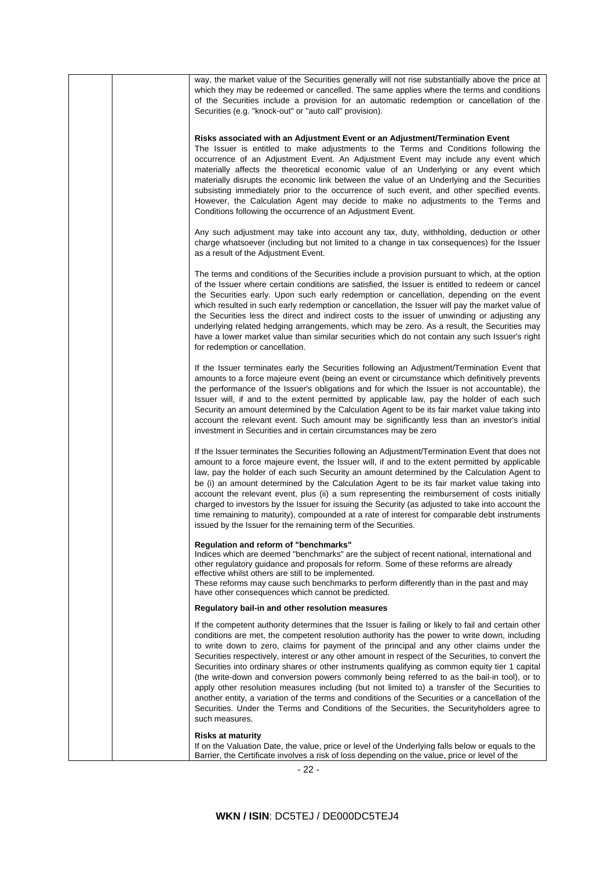|  | way, the market value of the Securities generally will not rise substantially above the price at<br>which they may be redeemed or cancelled. The same applies where the terms and conditions<br>of the Securities include a provision for an automatic redemption or cancellation of the<br>Securities (e.g. "knock-out" or "auto call" provision).                                                                                                                                                                                                                                                                                                                                                                                                                                                                                                                                                                                 |
|--|-------------------------------------------------------------------------------------------------------------------------------------------------------------------------------------------------------------------------------------------------------------------------------------------------------------------------------------------------------------------------------------------------------------------------------------------------------------------------------------------------------------------------------------------------------------------------------------------------------------------------------------------------------------------------------------------------------------------------------------------------------------------------------------------------------------------------------------------------------------------------------------------------------------------------------------|
|  | Risks associated with an Adjustment Event or an Adjustment/Termination Event<br>The Issuer is entitled to make adjustments to the Terms and Conditions following the<br>occurrence of an Adjustment Event. An Adjustment Event may include any event which<br>materially affects the theoretical economic value of an Underlying or any event which<br>materially disrupts the economic link between the value of an Underlying and the Securities<br>subsisting immediately prior to the occurrence of such event, and other specified events.<br>However, the Calculation Agent may decide to make no adjustments to the Terms and<br>Conditions following the occurrence of an Adjustment Event.                                                                                                                                                                                                                                 |
|  | Any such adjustment may take into account any tax, duty, withholding, deduction or other<br>charge whatsoever (including but not limited to a change in tax consequences) for the Issuer<br>as a result of the Adjustment Event.                                                                                                                                                                                                                                                                                                                                                                                                                                                                                                                                                                                                                                                                                                    |
|  | The terms and conditions of the Securities include a provision pursuant to which, at the option<br>of the Issuer where certain conditions are satisfied, the Issuer is entitled to redeem or cancel<br>the Securities early. Upon such early redemption or cancellation, depending on the event<br>which resulted in such early redemption or cancellation, the Issuer will pay the market value of<br>the Securities less the direct and indirect costs to the issuer of unwinding or adjusting any<br>underlying related hedging arrangements, which may be zero. As a result, the Securities may<br>have a lower market value than similar securities which do not contain any such Issuer's right<br>for redemption or cancellation.                                                                                                                                                                                            |
|  | If the Issuer terminates early the Securities following an Adjustment/Termination Event that<br>amounts to a force majeure event (being an event or circumstance which definitively prevents<br>the performance of the Issuer's obligations and for which the Issuer is not accountable), the<br>Issuer will, if and to the extent permitted by applicable law, pay the holder of each such<br>Security an amount determined by the Calculation Agent to be its fair market value taking into<br>account the relevant event. Such amount may be significantly less than an investor's initial<br>investment in Securities and in certain circumstances may be zero                                                                                                                                                                                                                                                                  |
|  | If the Issuer terminates the Securities following an Adjustment/Termination Event that does not<br>amount to a force majeure event, the Issuer will, if and to the extent permitted by applicable<br>law, pay the holder of each such Security an amount determined by the Calculation Agent to<br>be (i) an amount determined by the Calculation Agent to be its fair market value taking into<br>account the relevant event, plus (ii) a sum representing the reimbursement of costs initially<br>charged to investors by the Issuer for issuing the Security (as adjusted to take into account the<br>time remaining to maturity), compounded at a rate of interest for comparable debt instruments<br>issued by the Issuer for the remaining term of the Securities.                                                                                                                                                            |
|  | Regulation and reform of "benchmarks"<br>Indices which are deemed "benchmarks" are the subject of recent national, international and<br>other regulatory guidance and proposals for reform. Some of these reforms are already<br>effective whilst others are still to be implemented.<br>These reforms may cause such benchmarks to perform differently than in the past and may<br>have other consequences which cannot be predicted.                                                                                                                                                                                                                                                                                                                                                                                                                                                                                              |
|  | Regulatory bail-in and other resolution measures                                                                                                                                                                                                                                                                                                                                                                                                                                                                                                                                                                                                                                                                                                                                                                                                                                                                                    |
|  | If the competent authority determines that the Issuer is failing or likely to fail and certain other<br>conditions are met, the competent resolution authority has the power to write down, including<br>to write down to zero, claims for payment of the principal and any other claims under the<br>Securities respectively, interest or any other amount in respect of the Securities, to convert the<br>Securities into ordinary shares or other instruments qualifying as common equity tier 1 capital<br>(the write-down and conversion powers commonly being referred to as the bail-in tool), or to<br>apply other resolution measures including (but not limited to) a transfer of the Securities to<br>another entity, a variation of the terms and conditions of the Securities or a cancellation of the<br>Securities. Under the Terms and Conditions of the Securities, the Securityholders agree to<br>such measures. |
|  | <b>Risks at maturity</b><br>If on the Valuation Date, the value, price or level of the Underlying falls below or equals to the<br>Barrier, the Certificate involves a risk of loss depending on the value, price or level of the                                                                                                                                                                                                                                                                                                                                                                                                                                                                                                                                                                                                                                                                                                    |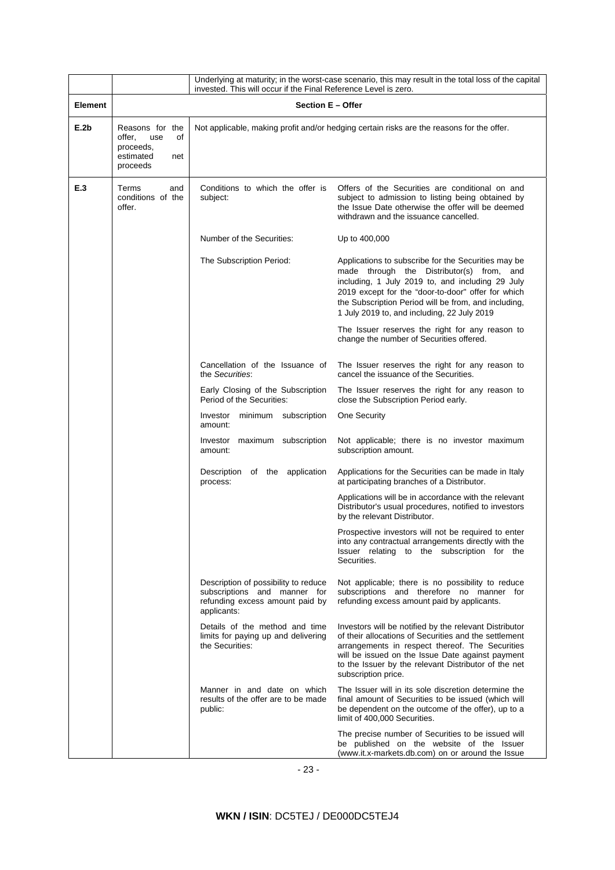|         |                                                                                     | Underlying at maturity; in the worst-case scenario, this may result in the total loss of the capital<br>invested. This will occur if the Final Reference Level is zero. |                                                                                                                                                                                                                                                                                                                   |  |  |
|---------|-------------------------------------------------------------------------------------|-------------------------------------------------------------------------------------------------------------------------------------------------------------------------|-------------------------------------------------------------------------------------------------------------------------------------------------------------------------------------------------------------------------------------------------------------------------------------------------------------------|--|--|
| Element | Section E - Offer                                                                   |                                                                                                                                                                         |                                                                                                                                                                                                                                                                                                                   |  |  |
| E.2b    | Reasons for the<br>offer,<br>use<br>of<br>proceeds,<br>estimated<br>net<br>proceeds | Not applicable, making profit and/or hedging certain risks are the reasons for the offer.                                                                               |                                                                                                                                                                                                                                                                                                                   |  |  |
| E.3     | Terms<br>and<br>conditions of the<br>offer.                                         | Conditions to which the offer is<br>subject:                                                                                                                            | Offers of the Securities are conditional on and<br>subject to admission to listing being obtained by<br>the Issue Date otherwise the offer will be deemed<br>withdrawn and the issuance cancelled.                                                                                                                |  |  |
|         |                                                                                     | Number of the Securities:                                                                                                                                               | Up to 400,000                                                                                                                                                                                                                                                                                                     |  |  |
|         |                                                                                     | The Subscription Period:                                                                                                                                                | Applications to subscribe for the Securities may be<br>made through the Distributor(s) from, and<br>including, 1 July 2019 to, and including 29 July<br>2019 except for the "door-to-door" offer for which<br>the Subscription Period will be from, and including,<br>1 July 2019 to, and including, 22 July 2019 |  |  |
|         |                                                                                     |                                                                                                                                                                         | The Issuer reserves the right for any reason to<br>change the number of Securities offered.                                                                                                                                                                                                                       |  |  |
|         |                                                                                     | Cancellation of the Issuance of<br>the Securities:                                                                                                                      | The Issuer reserves the right for any reason to<br>cancel the issuance of the Securities.                                                                                                                                                                                                                         |  |  |
|         |                                                                                     | Early Closing of the Subscription<br>Period of the Securities:                                                                                                          | The Issuer reserves the right for any reason to<br>close the Subscription Period early.                                                                                                                                                                                                                           |  |  |
|         |                                                                                     | minimum subscription<br>Investor<br>amount:                                                                                                                             | One Security                                                                                                                                                                                                                                                                                                      |  |  |
|         |                                                                                     | Investor maximum subscription<br>amount:                                                                                                                                | Not applicable; there is no investor maximum<br>subscription amount.                                                                                                                                                                                                                                              |  |  |
|         |                                                                                     | Description of the application<br>process:                                                                                                                              | Applications for the Securities can be made in Italy<br>at participating branches of a Distributor.                                                                                                                                                                                                               |  |  |
|         |                                                                                     |                                                                                                                                                                         | Applications will be in accordance with the relevant<br>Distributor's usual procedures, notified to investors<br>by the relevant Distributor.                                                                                                                                                                     |  |  |
|         |                                                                                     |                                                                                                                                                                         | Prospective investors will not be required to enter<br>into any contractual arrangements directly with the<br>Issuer relating to the subscription for the<br>Securities.                                                                                                                                          |  |  |
|         |                                                                                     | Description of possibility to reduce<br>subscriptions and manner for<br>refunding excess amount paid by<br>applicants:                                                  | Not applicable; there is no possibility to reduce<br>subscriptions and therefore no manner for<br>refunding excess amount paid by applicants.                                                                                                                                                                     |  |  |
|         |                                                                                     | Details of the method and time<br>limits for paying up and delivering<br>the Securities:                                                                                | Investors will be notified by the relevant Distributor<br>of their allocations of Securities and the settlement<br>arrangements in respect thereof. The Securities<br>will be issued on the Issue Date against payment<br>to the Issuer by the relevant Distributor of the net<br>subscription price.             |  |  |
|         |                                                                                     | Manner in and date on which<br>results of the offer are to be made<br>public:                                                                                           | The Issuer will in its sole discretion determine the<br>final amount of Securities to be issued (which will<br>be dependent on the outcome of the offer), up to a<br>limit of 400,000 Securities.                                                                                                                 |  |  |
|         |                                                                                     |                                                                                                                                                                         | The precise number of Securities to be issued will<br>be published on the website of the Issuer<br>(www.it.x-markets.db.com) on or around the Issue                                                                                                                                                               |  |  |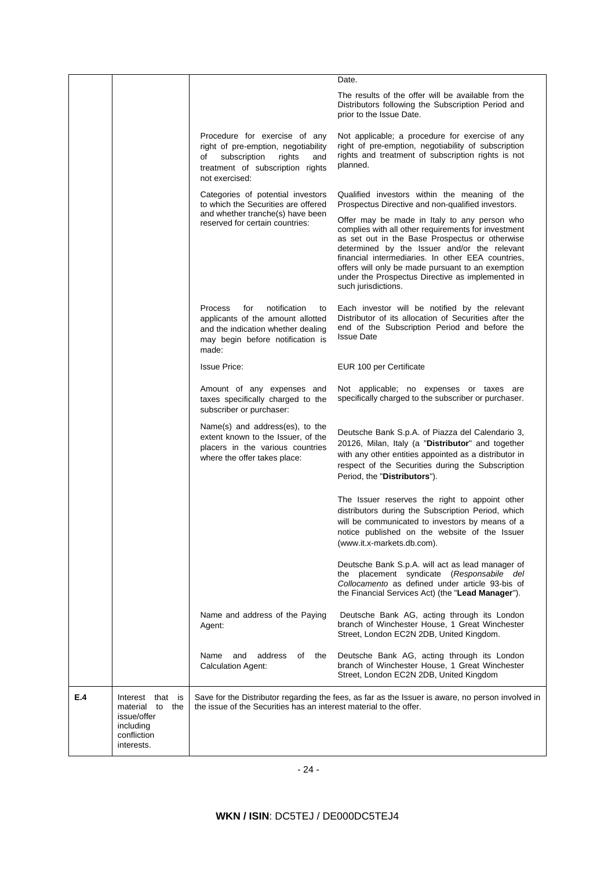|     |                                                                                                 |                                                                                                                                                                     | Date.                                                                                                                                                                                                                                                                                                                                                                                      |
|-----|-------------------------------------------------------------------------------------------------|---------------------------------------------------------------------------------------------------------------------------------------------------------------------|--------------------------------------------------------------------------------------------------------------------------------------------------------------------------------------------------------------------------------------------------------------------------------------------------------------------------------------------------------------------------------------------|
|     |                                                                                                 |                                                                                                                                                                     | The results of the offer will be available from the<br>Distributors following the Subscription Period and<br>prior to the Issue Date.                                                                                                                                                                                                                                                      |
|     |                                                                                                 | Procedure for exercise of any<br>right of pre-emption, negotiability<br>subscription<br>rights<br>οf<br>and<br>treatment of subscription rights<br>not exercised:   | Not applicable; a procedure for exercise of any<br>right of pre-emption, negotiability of subscription<br>rights and treatment of subscription rights is not<br>planned.                                                                                                                                                                                                                   |
|     |                                                                                                 | Categories of potential investors<br>to which the Securities are offered                                                                                            | Qualified investors within the meaning of the<br>Prospectus Directive and non-qualified investors.                                                                                                                                                                                                                                                                                         |
|     |                                                                                                 | and whether tranche(s) have been<br>reserved for certain countries:                                                                                                 | Offer may be made in Italy to any person who<br>complies with all other requirements for investment<br>as set out in the Base Prospectus or otherwise<br>determined by the Issuer and/or the relevant<br>financial intermediaries. In other EEA countries,<br>offers will only be made pursuant to an exemption<br>under the Prospectus Directive as implemented in<br>such jurisdictions. |
|     |                                                                                                 | notification<br><b>Process</b><br>for<br>to<br>applicants of the amount allotted<br>and the indication whether dealing<br>may begin before notification is<br>made: | Each investor will be notified by the relevant<br>Distributor of its allocation of Securities after the<br>end of the Subscription Period and before the<br><b>Issue Date</b>                                                                                                                                                                                                              |
|     |                                                                                                 | <b>Issue Price:</b>                                                                                                                                                 | EUR 100 per Certificate                                                                                                                                                                                                                                                                                                                                                                    |
|     |                                                                                                 | Amount of any expenses and<br>taxes specifically charged to the<br>subscriber or purchaser:                                                                         | Not applicable; no expenses or taxes are<br>specifically charged to the subscriber or purchaser.                                                                                                                                                                                                                                                                                           |
|     |                                                                                                 | Name(s) and address(es), to the<br>extent known to the Issuer, of the<br>placers in the various countries<br>where the offer takes place:                           | Deutsche Bank S.p.A. of Piazza del Calendario 3,<br>20126, Milan, Italy (a "Distributor" and together<br>with any other entities appointed as a distributor in<br>respect of the Securities during the Subscription<br>Period, the "Distributors").                                                                                                                                        |
|     |                                                                                                 |                                                                                                                                                                     | The Issuer reserves the right to appoint other<br>distributors during the Subscription Period, which<br>will be communicated to investors by means of a<br>notice published on the website of the Issuer<br>(www.it.x-markets.db.com).                                                                                                                                                     |
|     |                                                                                                 |                                                                                                                                                                     | Deutsche Bank S.p.A. will act as lead manager of<br>the placement syndicate (Responsabile del<br>Collocamento as defined under article 93-bis of<br>the Financial Services Act) (the "Lead Manager").                                                                                                                                                                                      |
|     |                                                                                                 | Name and address of the Paying<br>Agent:                                                                                                                            | Deutsche Bank AG, acting through its London<br>branch of Winchester House. 1 Great Winchester<br>Street, London EC2N 2DB, United Kingdom.                                                                                                                                                                                                                                                  |
|     |                                                                                                 | address<br>Name<br>and<br>of<br>the<br><b>Calculation Agent:</b>                                                                                                    | Deutsche Bank AG, acting through its London<br>branch of Winchester House, 1 Great Winchester<br>Street, London EC2N 2DB, United Kingdom                                                                                                                                                                                                                                                   |
| E.4 | Interest that is<br>material to<br>the<br>issue/offer<br>including<br>confliction<br>interests. | the issue of the Securities has an interest material to the offer.                                                                                                  | Save for the Distributor regarding the fees, as far as the Issuer is aware, no person involved in                                                                                                                                                                                                                                                                                          |
|     |                                                                                                 |                                                                                                                                                                     |                                                                                                                                                                                                                                                                                                                                                                                            |